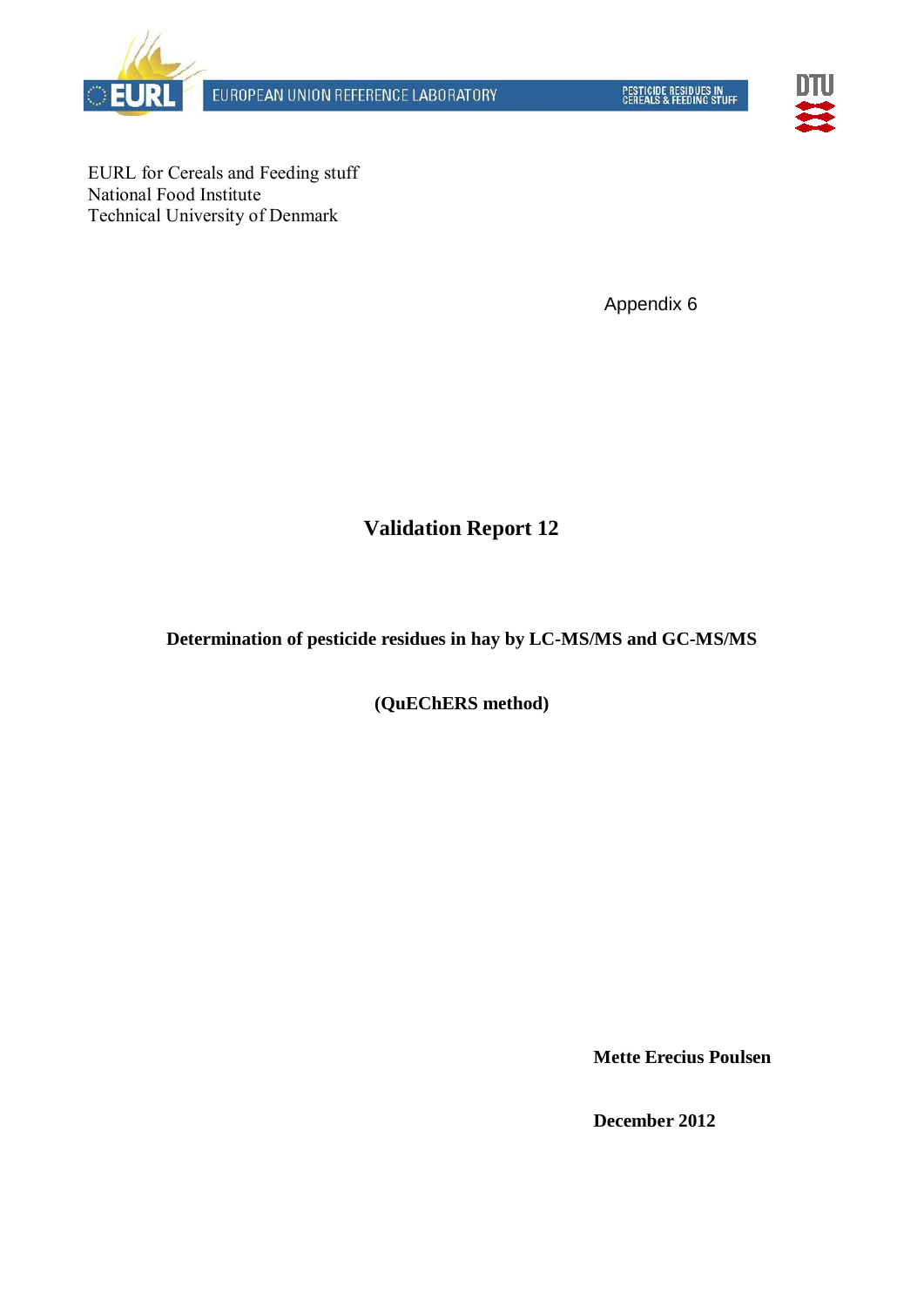



EURL for Cereals and Feeding stuff National Food Institute Technical University of Denmark

Appendix 6

# **Validation Report 12**

**Determination of pesticide residues in hay by LC-MS/MS and GC-MS/MS**

**(QuEChERS method)** 

**Mette Erecius Poulsen**

**December 2012**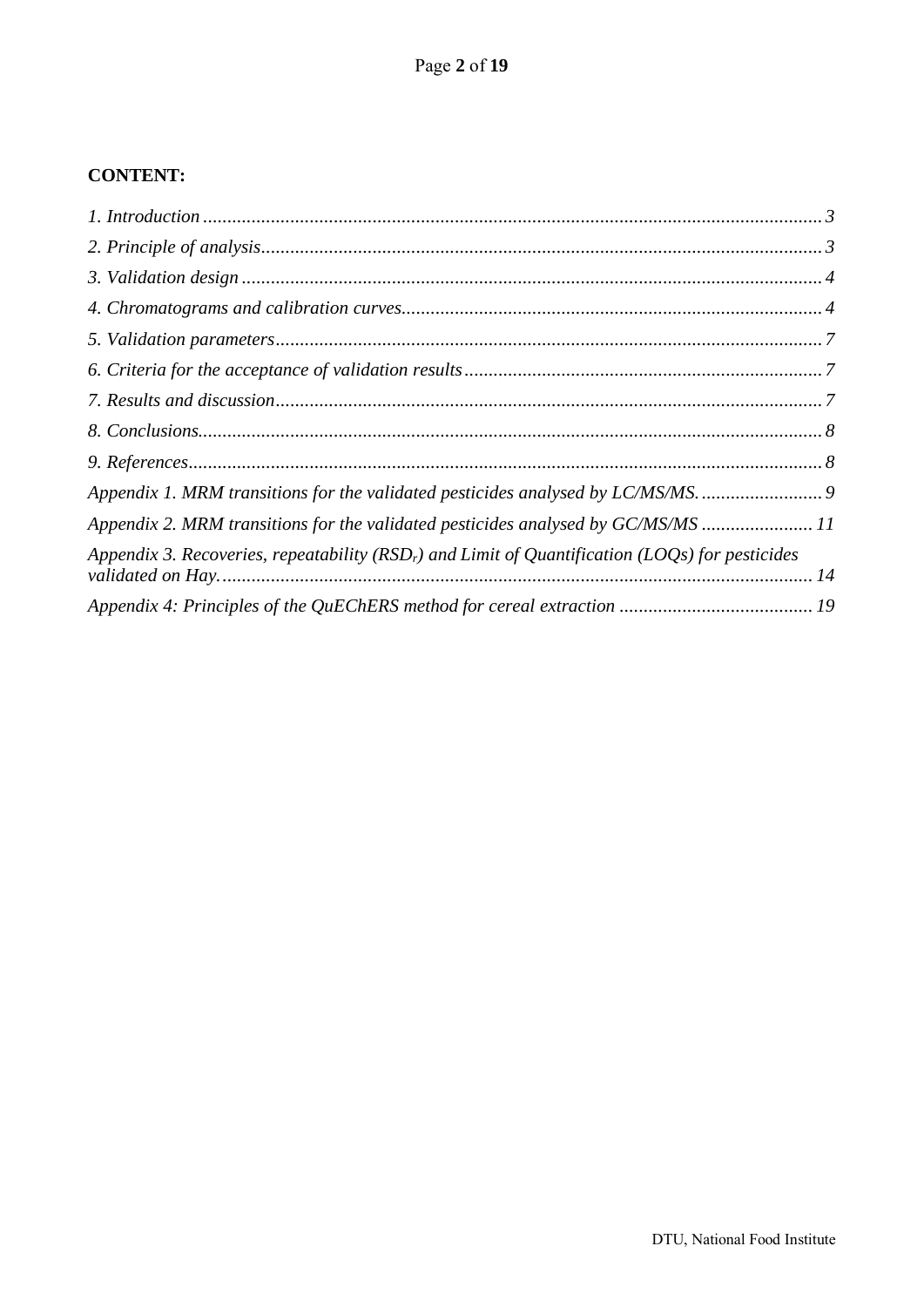## **CONTENT:**

| Appendix 1. MRM transitions for the validated pesticides analysed by LC/MS/MS9                     |  |
|----------------------------------------------------------------------------------------------------|--|
| Appendix 2. MRM transitions for the validated pesticides analysed by GC/MS/MS  11                  |  |
| Appendix 3. Recoveries, repeatability ( $RSDr$ ) and Limit of Quantification (LOQs) for pesticides |  |
|                                                                                                    |  |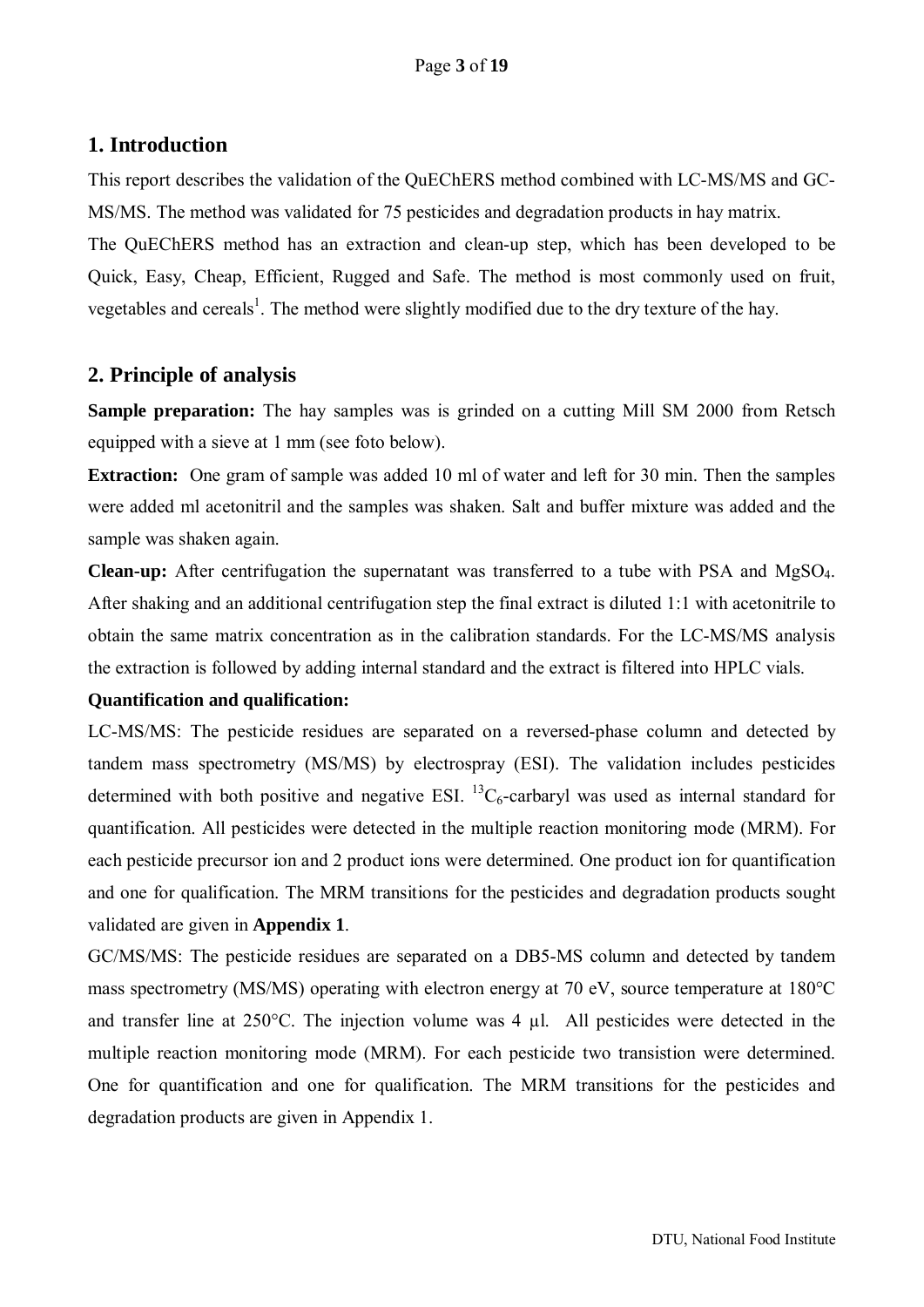## <span id="page-2-0"></span>**1. Introduction**

This report describes the validation of the QuEChERS method combined with LC-MS/MS and GC-MS/MS. The method was validated for 75 pesticides and degradation products in hay matrix. The QuEChERS method has an extraction and clean-up step, which has been developed to be Quick, Easy, Cheap, Efficient, Rugged and Safe. The method is most commonly used on fruit, vegetables and cereals<sup>1</sup>. The method were slightly modified due to the dry texture of the hay.

## <span id="page-2-1"></span>**2. Principle of analysis**

**Sample preparation:** The hay samples was is grinded on a cutting Mill SM 2000 from Retsch equipped with a sieve at 1 mm (see foto below).

**Extraction:** One gram of sample was added 10 ml of water and left for 30 min. Then the samples were added ml acetonitril and the samples was shaken. Salt and buffer mixture was added and the sample was shaken again.

**Clean-up:** After centrifugation the supernatant was transferred to a tube with PSA and MgSO4. After shaking and an additional centrifugation step the final extract is diluted 1:1 with acetonitrile to obtain the same matrix concentration as in the calibration standards. For the LC-MS/MS analysis the extraction is followed by adding internal standard and the extract is filtered into HPLC vials.

#### **Quantification and qualification:**

LC-MS/MS: The pesticide residues are separated on a reversed-phase column and detected by tandem mass spectrometry (MS/MS) by electrospray (ESI). The validation includes pesticides determined with both positive and negative ESI.  ${}^{13}C_6$ -carbaryl was used as internal standard for quantification. All pesticides were detected in the multiple reaction monitoring mode (MRM). For each pesticide precursor ion and 2 product ions were determined. One product ion for quantification and one for qualification. The MRM transitions for the pesticides and degradation products sought validated are given in **Appendix 1**.

GC/MS/MS: The pesticide residues are separated on a DB5-MS column and detected by tandem mass spectrometry (MS/MS) operating with electron energy at 70 eV, source temperature at 180°C and transfer line at 250°C. The injection volume was 4 µl. All pesticides were detected in the multiple reaction monitoring mode (MRM). For each pesticide two transistion were determined. One for quantification and one for qualification. The MRM transitions for the pesticides and degradation products are given in Appendix 1.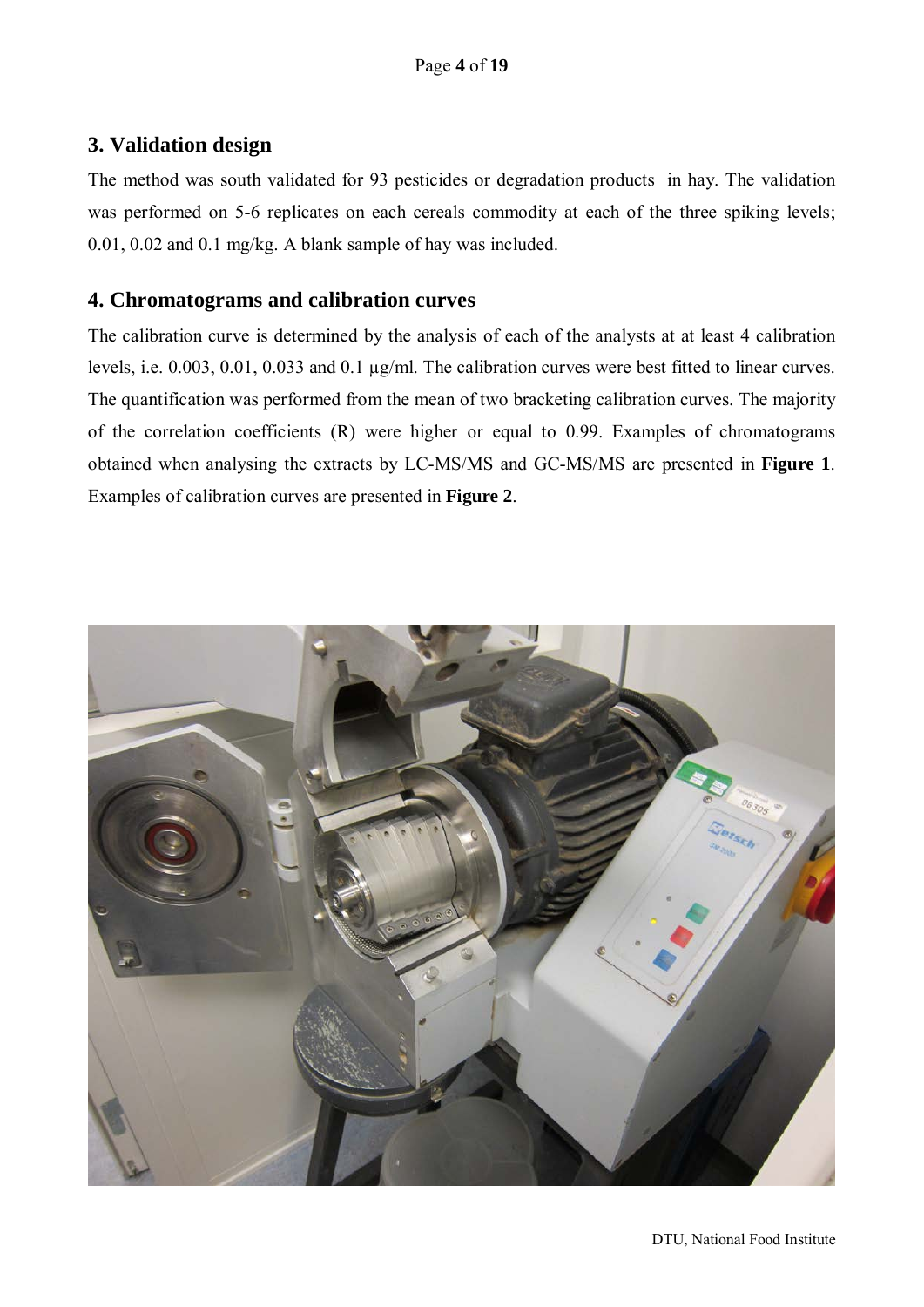## <span id="page-3-0"></span>**3. Validation design**

The method was south validated for 93 pesticides or degradation products in hay. The validation was performed on 5-6 replicates on each cereals commodity at each of the three spiking levels; 0.01, 0.02 and 0.1 mg/kg. A blank sample of hay was included.

## <span id="page-3-1"></span>**4. Chromatograms and calibration curves**

The calibration curve is determined by the analysis of each of the analysts at at least 4 calibration levels, i.e. 0.003, 0.01, 0.033 and 0.1 µg/ml. The calibration curves were best fitted to linear curves. The quantification was performed from the mean of two bracketing calibration curves. The majority of the correlation coefficients (R) were higher or equal to 0.99. Examples of chromatograms obtained when analysing the extracts by LC-MS/MS and GC-MS/MS are presented in **Figure 1**. Examples of calibration curves are presented in **Figure 2**.

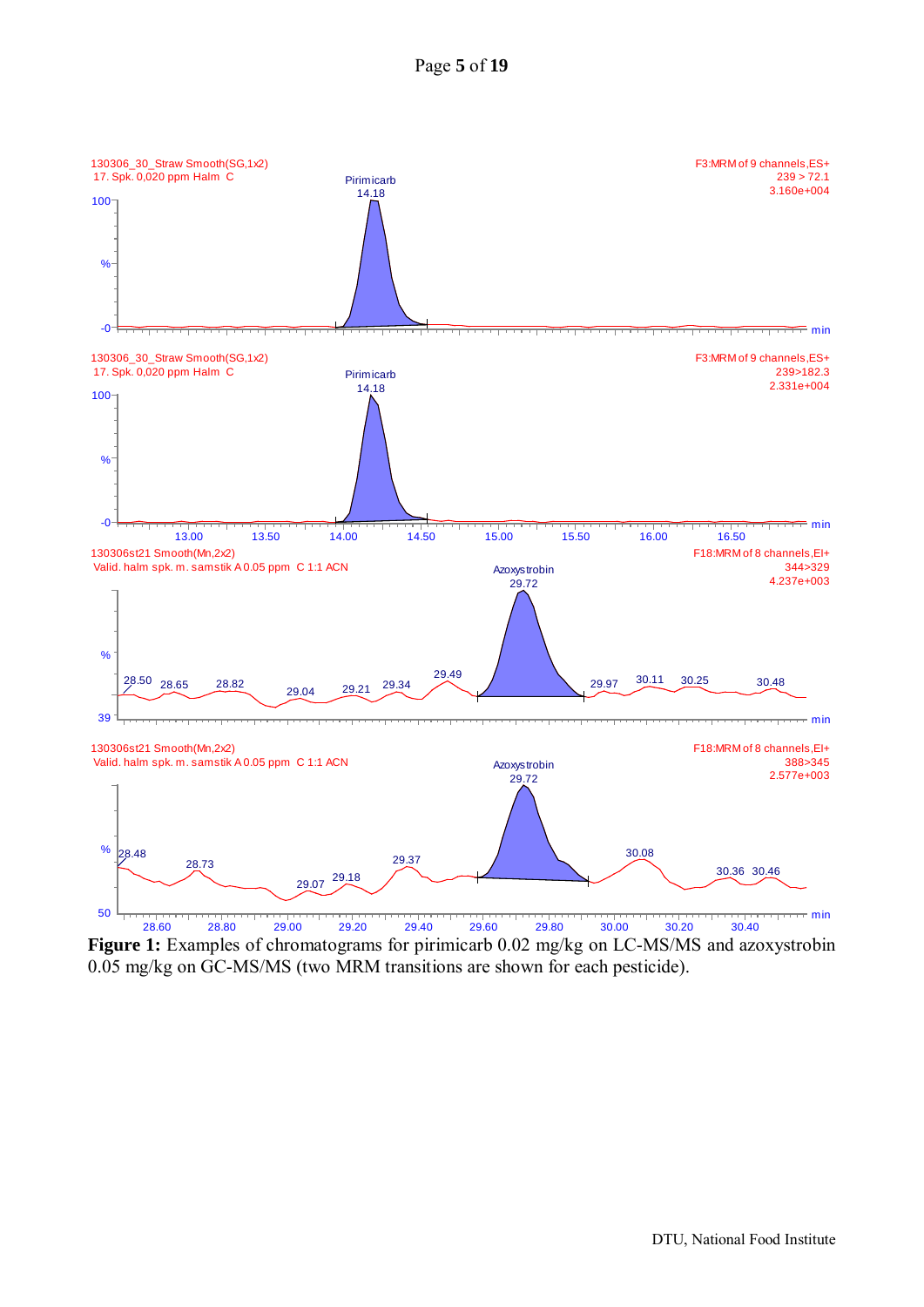



**Figure 1:** Examples of chromatograms for pirimicarb 0.02 mg/kg on LC-MS/MS and azoxystrobin 0.05 mg/kg on GC-MS/MS (two MRM transitions are shown for each pesticide).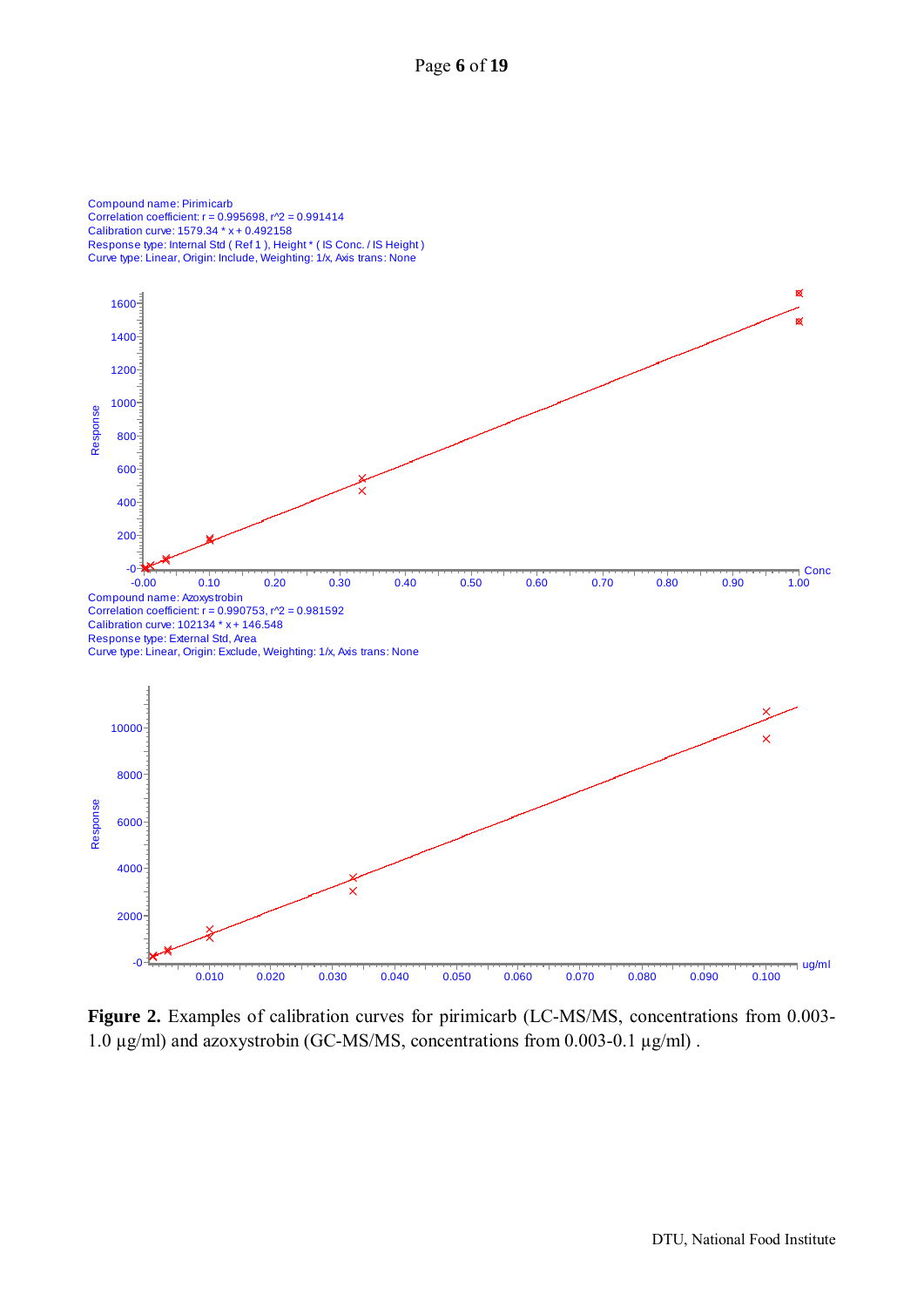Page **6** of **19**





**Figure 2.** Examples of calibration curves for pirimicarb (LC-MS/MS, concentrations from 0.003- 1.0 µg/ml) and azoxystrobin (GC-MS/MS, concentrations from 0.003-0.1 µg/ml) .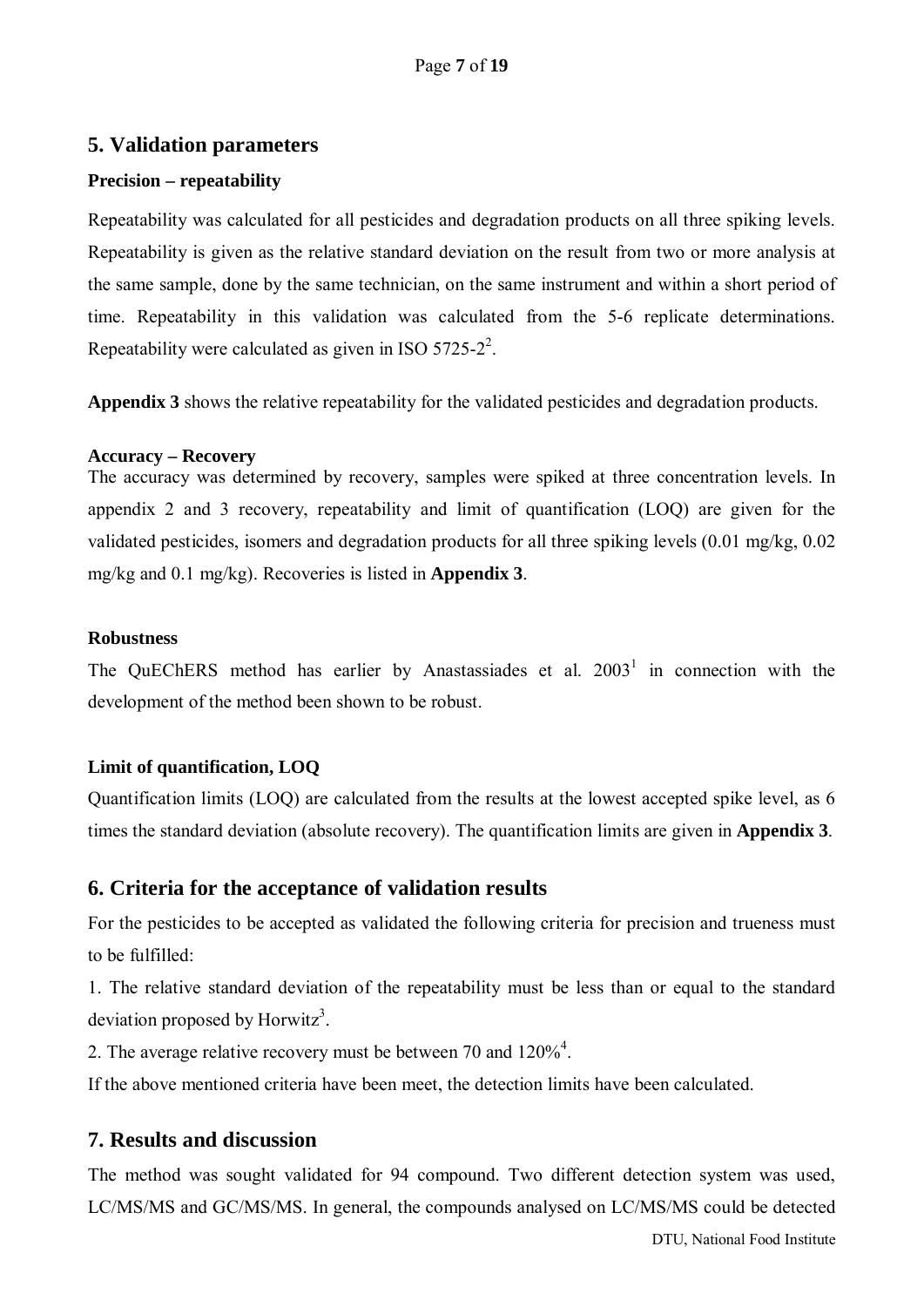#### <span id="page-6-0"></span>**5. Validation parameters**

#### **Precision – repeatability**

Repeatability was calculated for all pesticides and degradation products on all three spiking levels. Repeatability is given as the relative standard deviation on the result from two or more analysis at the same sample, done by the same technician, on the same instrument and within a short period of time. Repeatability in this validation was calculated from the 5-6 replicate determinations. Repeatability were calculated as given in ISO  $5725-2^2$ .

**Appendix 3** shows the relative repeatability for the validated pesticides and degradation products.

#### **Accuracy – Recovery**

The accuracy was determined by recovery, samples were spiked at three concentration levels. In appendix 2 and 3 recovery, repeatability and limit of quantification (LOQ) are given for the validated pesticides, isomers and degradation products for all three spiking levels (0.01 mg/kg, 0.02 mg/kg and 0.1 mg/kg). Recoveries is listed in **Appendix 3**.

#### **Robustness**

The QuEChERS method has earlier by Anastassiades et al. 2003<sup>1</sup> in connection with the development of the method been shown to be robust.

#### **Limit of quantification, LOQ**

Quantification limits (LOQ) are calculated from the results at the lowest accepted spike level, as 6 times the standard deviation (absolute recovery). The quantification limits are given in **Appendix 3**.

## <span id="page-6-1"></span>**6. Criteria for the acceptance of validation results**

For the pesticides to be accepted as validated the following criteria for precision and trueness must to be fulfilled:

1. The relative standard deviation of the repeatability must be less than or equal to the standard deviation proposed by Horwitz<sup>3</sup>.

2. The average relative recovery must be between 70 and  $120\%^4$ .

If the above mentioned criteria have been meet, the detection limits have been calculated.

## <span id="page-6-2"></span>**7. Results and discussion**

The method was sought validated for 94 compound. Two different detection system was used, LC/MS/MS and GC/MS/MS. In general, the compounds analysed on LC/MS/MS could be detected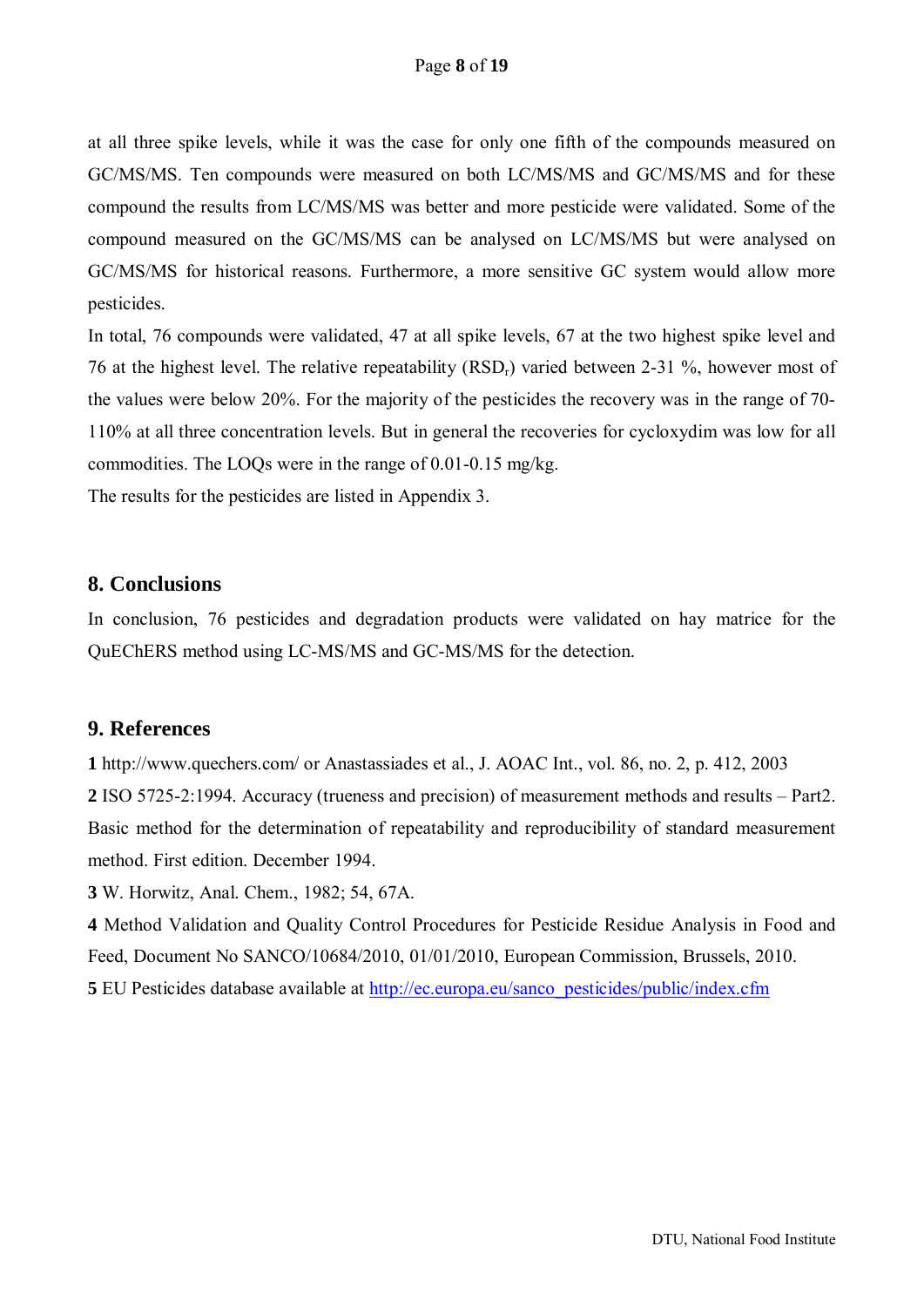at all three spike levels, while it was the case for only one fifth of the compounds measured on GC/MS/MS. Ten compounds were measured on both LC/MS/MS and GC/MS/MS and for these compound the results from LC/MS/MS was better and more pesticide were validated. Some of the compound measured on the GC/MS/MS can be analysed on LC/MS/MS but were analysed on GC/MS/MS for historical reasons. Furthermore, a more sensitive GC system would allow more pesticides.

In total, 76 compounds were validated, 47 at all spike levels, 67 at the two highest spike level and 76 at the highest level. The relative repeatability  $(RSD<sub>r</sub>)$  varied between 2-31 %, however most of the values were below 20%. For the majority of the pesticides the recovery was in the range of 70- 110% at all three concentration levels. But in general the recoveries for cycloxydim was low for all commodities. The LOQs were in the range of 0.01-0.15 mg/kg.

The results for the pesticides are listed in Appendix 3.

#### <span id="page-7-0"></span>**8. Conclusions**

In conclusion, 76 pesticides and degradation products were validated on hay matrice for the QuEChERS method using LC-MS/MS and GC-MS/MS for the detection.

#### <span id="page-7-1"></span>**9. References**

**1** http://www.quechers.com/ or Anastassiades et al., J. AOAC Int., vol. 86, no. 2, p. 412, 2003 **2** ISO 5725-2:1994. Accuracy (trueness and precision) of measurement methods and results – Part2. Basic method for the determination of repeatability and reproducibility of standard measurement method. First edition. December 1994.

**3** W. Horwitz, Anal. Chem., 1982; 54, 67A.

**4** Method Validation and Quality Control Procedures for Pesticide Residue Analysis in Food and Feed, Document No SANCO/10684/2010, 01/01/2010, European Commission, Brussels, 2010. **5** EU Pesticides database available at [http://ec.europa.eu/sanco\\_pesticides/public/index.cfm](http://ec.europa.eu/sanco_pesticides/public/index.cfm)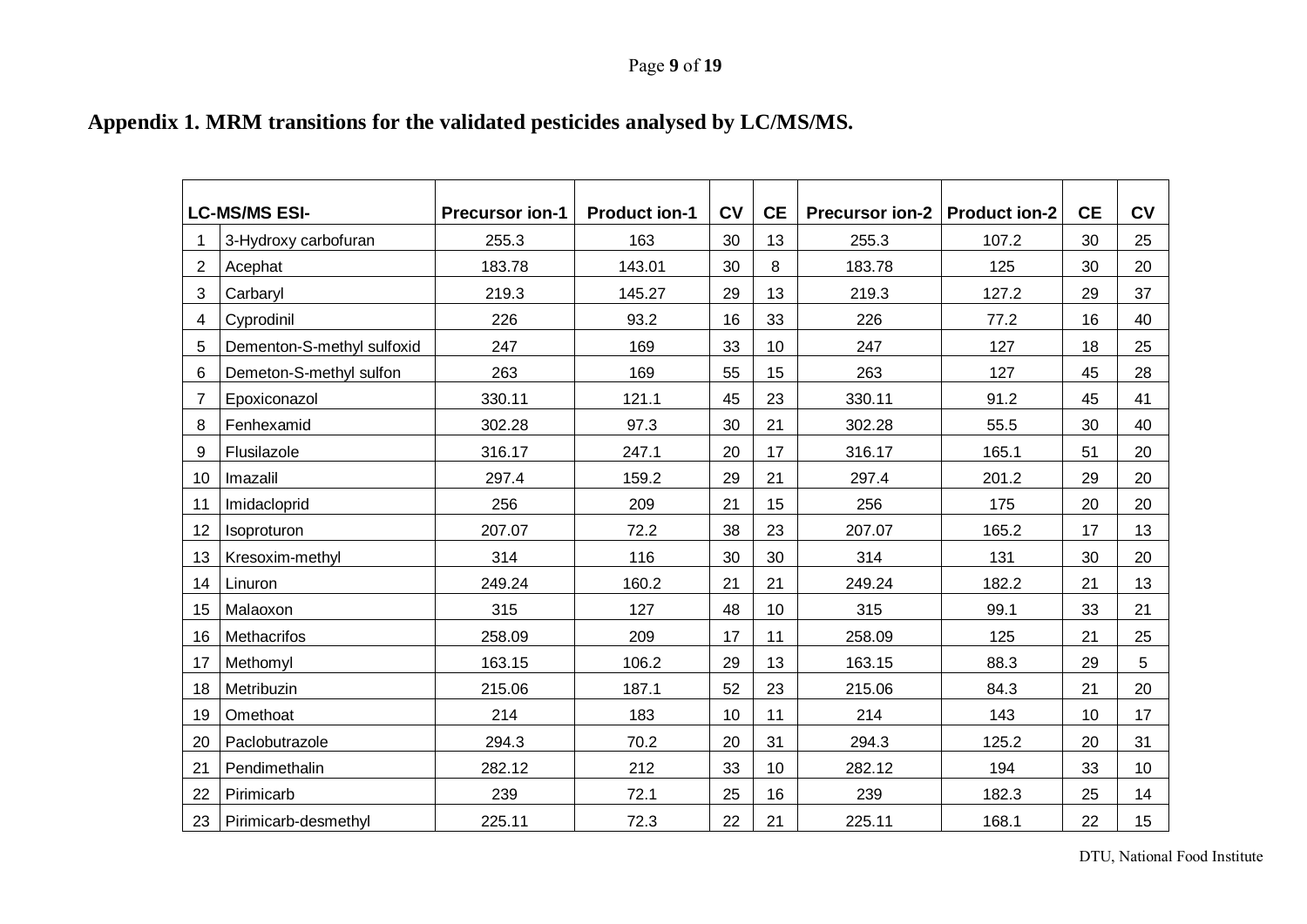## Page **9** of **19**

# **Appendix 1. MRM transitions for the validated pesticides analysed by LC/MS/MS.**

<span id="page-8-0"></span>

|    | <b>LC-MS/MS ESI-</b>       | <b>Precursor ion-1</b> | <b>Product ion-1</b> | <b>CV</b> | <b>CE</b>       | Precursor ion-2   Product ion-2 |       | <b>CE</b> | <b>CV</b>       |
|----|----------------------------|------------------------|----------------------|-----------|-----------------|---------------------------------|-------|-----------|-----------------|
|    | 3-Hydroxy carbofuran       | 255.3                  | 163                  | 30        | 13              | 255.3                           | 107.2 | 30        | 25              |
| 2  | Acephat                    | 183.78                 | 143.01               | 30        | 8               | 183.78                          | 125   | 30        | 20              |
| 3  | Carbaryl                   | 219.3                  | 145.27               | 29        | 13              | 219.3                           | 127.2 | 29        | 37              |
| 4  | Cyprodinil                 | 226                    | 93.2                 | 16        | 33              | 226                             | 77.2  | 16        | 40              |
| 5  | Dementon-S-methyl sulfoxid | 247                    | 169                  | 33        | 10              | 247                             | 127   | 18        | 25              |
| 6  | Demeton-S-methyl sulfon    | 263                    | 169                  | 55        | 15              | 263                             | 127   | 45        | 28              |
| 7  | Epoxiconazol               | 330.11                 | 121.1                | 45        | 23              | 330.11                          | 91.2  | 45        | 41              |
| 8  | Fenhexamid                 | 302.28                 | 97.3                 | 30        | 21              | 302.28                          | 55.5  | 30        | 40              |
| 9  | Flusilazole                | 316.17                 | 247.1                | 20        | 17              | 316.17                          | 165.1 | 51        | 20              |
| 10 | Imazalil                   | 297.4                  | 159.2                | 29        | 21              | 297.4                           | 201.2 | 29        | 20              |
| 11 | Imidacloprid               | 256                    | 209                  | 21        | 15              | 256                             | 175   | 20        | 20              |
| 12 | Isoproturon                | 207.07                 | 72.2                 | 38        | 23              | 207.07                          | 165.2 | 17        | 13              |
| 13 | Kresoxim-methyl            | 314                    | 116                  | 30        | 30              | 314                             | 131   | 30        | 20              |
| 14 | Linuron                    | 249.24                 | 160.2                | 21        | 21              | 249.24                          | 182.2 | 21        | 13              |
| 15 | Malaoxon                   | 315                    | 127                  | 48        | 10              | 315                             | 99.1  | 33        | 21              |
| 16 | Methacrifos                | 258.09                 | 209                  | 17        | 11              | 258.09                          | 125   | 21        | 25              |
| 17 | Methomyl                   | 163.15                 | 106.2                | 29        | 13              | 163.15                          | 88.3  | 29        | 5               |
| 18 | Metribuzin                 | 215.06                 | 187.1                | 52        | 23              | 215.06                          | 84.3  | 21        | 20              |
| 19 | Omethoat                   | 214                    | 183                  | 10        | 11              | 214                             | 143   | 10        | 17              |
| 20 | Paclobutrazole             | 294.3                  | 70.2                 | 20        | 31              | 294.3                           | 125.2 | 20        | 31              |
| 21 | Pendimethalin              | 282.12                 | 212                  | 33        | 10 <sup>°</sup> | 282.12                          | 194   | 33        | 10              |
| 22 | Pirimicarb                 | 239                    | 72.1                 | 25        | 16              | 239                             | 182.3 | 25        | 14              |
| 23 | Pirimicarb-desmethyl       | 225.11                 | 72.3                 | 22        | 21              | 225.11                          | 168.1 | 22        | 15 <sub>1</sub> |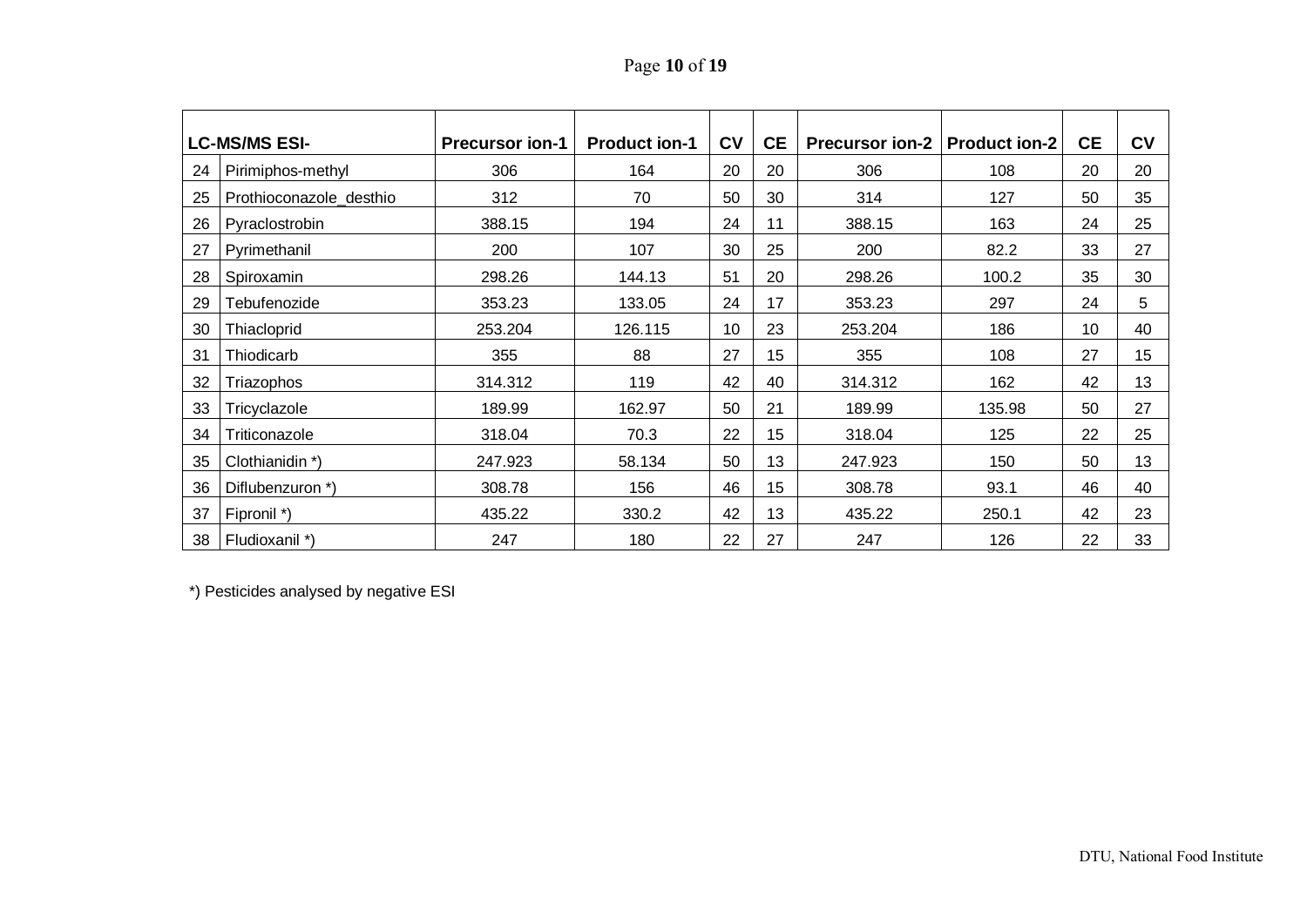# Page **10** of **19**

|    | <b>LC-MS/MS ESI-</b>    | <b>Precursor ion-1</b> | <b>Product ion-1</b> | <b>CV</b> | <b>CE</b> | <b>Precursor ion-2   Product ion-2</b> |        | <b>CE</b> | <b>CV</b> |
|----|-------------------------|------------------------|----------------------|-----------|-----------|----------------------------------------|--------|-----------|-----------|
| 24 | Pirimiphos-methyl       | 306                    | 164                  | 20        | 20        | 306                                    | 108    | 20        | 20        |
| 25 | Prothioconazole_desthio | 312                    | 70                   | 50        | 30        | 314                                    | 127    | 50        | 35        |
| 26 | Pyraclostrobin          | 388.15                 | 194                  | 24        | 11        | 388.15                                 | 163    | 24        | 25        |
| 27 | Pyrimethanil            | 200                    | 107                  | 30        | 25        | 200                                    | 82.2   | 33        | 27        |
| 28 | Spiroxamin              | 298.26                 | 144.13               | 51        | 20        | 298.26                                 | 100.2  | 35        | 30        |
| 29 | Tebufenozide            | 353.23                 | 133.05               | 24        | 17        | 353.23                                 | 297    | 24        | 5         |
| 30 | Thiacloprid             | 253.204                | 126.115              | 10        | 23        | 253.204                                | 186    | 10        | 40        |
| 31 | Thiodicarb              | 355                    | 88                   | 27        | 15        | 355                                    | 108    | 27        | 15        |
| 32 | Triazophos              | 314.312                | 119                  | 42        | 40        | 314.312                                | 162    | 42        | 13        |
| 33 | Tricyclazole            | 189.99                 | 162.97               | 50        | 21        | 189.99                                 | 135.98 | 50        | 27        |
| 34 | Triticonazole           | 318.04                 | 70.3                 | 22        | 15        | 318.04                                 | 125    | 22        | 25        |
| 35 | Clothianidin *)         | 247.923                | 58.134               | 50        | 13        | 247.923                                | 150    | 50        | 13        |
| 36 | Diflubenzuron *)        | 308.78                 | 156                  | 46        | 15        | 308.78                                 | 93.1   | 46        | 40        |
| 37 | Fipronil *)             | 435.22                 | 330.2                | 42        | 13        | 435.22                                 | 250.1  | 42        | 23        |
| 38 | Fludioxanil *)          | 247                    | 180                  | 22        | 27        | 247                                    | 126    | 22        | 33        |

\*) Pesticides analysed by negative ESI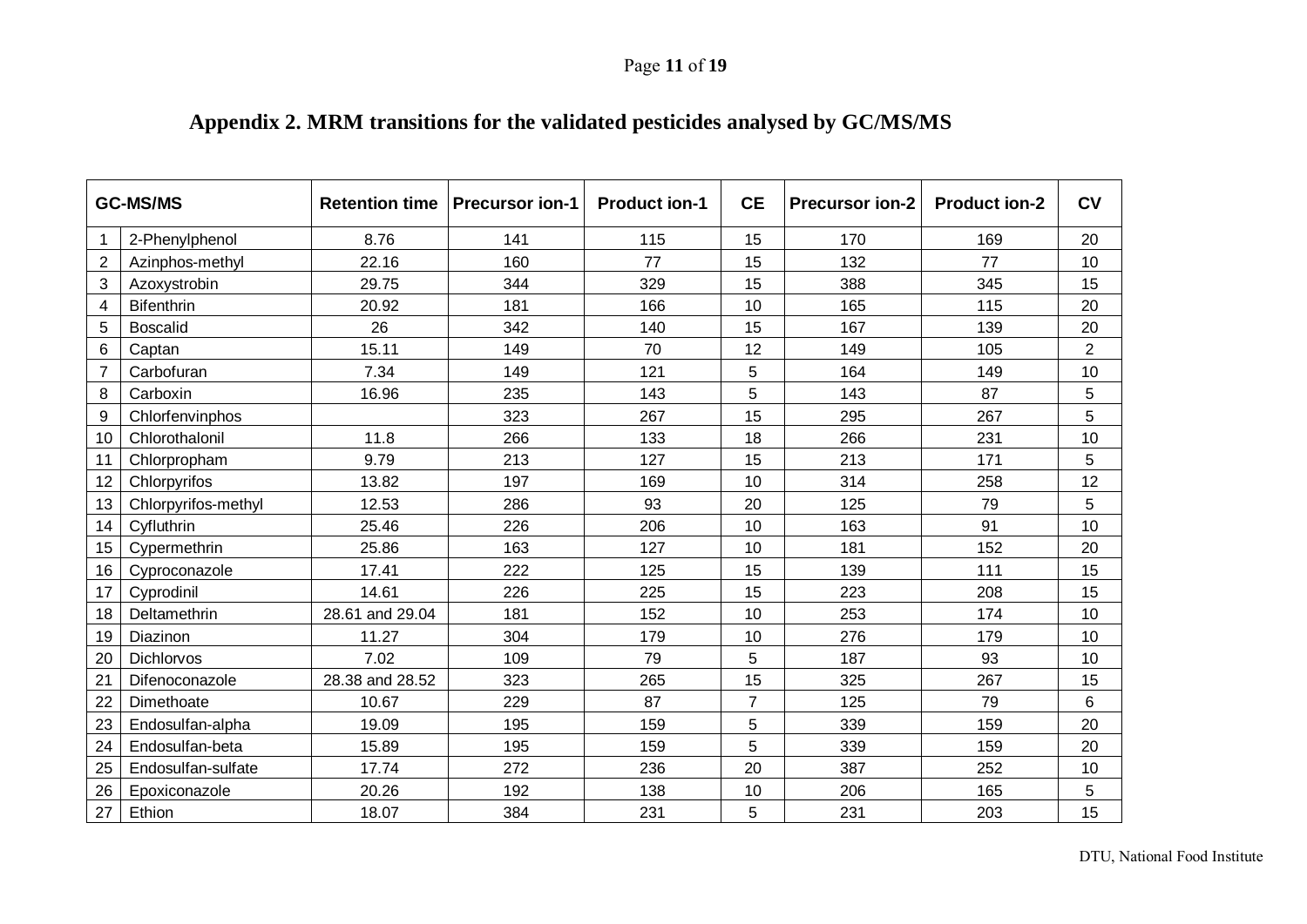# Page **11** of **19**

<span id="page-10-0"></span>

| <b>GC-MS/MS</b> |                     | <b>Retention time</b> | <b>Precursor ion-1</b> | <b>Product ion-1</b> | <b>CE</b>      | <b>Precursor ion-2</b> | <b>Product ion-2</b> | <b>CV</b>      |
|-----------------|---------------------|-----------------------|------------------------|----------------------|----------------|------------------------|----------------------|----------------|
| 1               | 2-Phenylphenol      | 8.76                  | 141                    | 115                  | 15             | 170                    | 169                  | 20             |
| $\overline{2}$  | Azinphos-methyl     | 22.16                 | 160                    | 77                   | 15             | 132                    | 77                   | 10             |
| 3               | Azoxystrobin        | 29.75                 | 344                    | 329                  | 15             | 388                    | 345                  | 15             |
| 4               | <b>Bifenthrin</b>   | 20.92                 | 181                    | 166                  | 10             | 165                    | 115                  | 20             |
| 5               | <b>Boscalid</b>     | 26                    | 342                    | 140                  | 15             | 167                    | 139                  | 20             |
| 6               | Captan              | 15.11                 | 149                    | 70                   | 12             | 149                    | 105                  | $\overline{2}$ |
| 7               | Carbofuran          | 7.34                  | 149                    | 121                  | 5              | 164                    | 149                  | 10             |
| 8               | Carboxin            | 16.96                 | 235                    | 143                  | 5              | 143                    | 87                   | 5              |
| 9               | Chlorfenvinphos     |                       | 323                    | 267                  | 15             | 295                    | 267                  | 5              |
| 10              | Chlorothalonil      | 11.8                  | 266                    | 133                  | 18             | 266                    | 231                  | 10             |
| 11              | Chlorpropham        | 9.79                  | 213                    | 127                  | 15             | 213                    | 171                  | 5              |
| 12              | Chlorpyrifos        | 13.82                 | 197                    | 169                  | 10             | 314                    | 258                  | 12             |
| 13              | Chlorpyrifos-methyl | 12.53                 | 286                    | 93                   | 20             | 125                    | 79                   | 5              |
| 14              | Cyfluthrin          | 25.46                 | 226                    | 206                  | 10             | 163                    | 91                   | 10             |
| 15              | Cypermethrin        | 25.86                 | 163                    | 127                  | 10             | 181                    | 152                  | 20             |
| 16              | Cyproconazole       | 17.41                 | 222                    | 125                  | 15             | 139                    | 111                  | 15             |
| 17              | Cyprodinil          | 14.61                 | 226                    | 225                  | 15             | 223                    | 208                  | 15             |
| 18              | Deltamethrin        | 28.61 and 29.04       | 181                    | 152                  | 10             | 253                    | 174                  | 10             |
| 19              | Diazinon            | 11.27                 | 304                    | 179                  | 10             | 276                    | 179                  | 10             |
| 20              | Dichlorvos          | 7.02                  | 109                    | 79                   | 5              | 187                    | 93                   | 10             |
| 21              | Difenoconazole      | 28.38 and 28.52       | 323                    | 265                  | 15             | 325                    | 267                  | 15             |
| 22              | Dimethoate          | 10.67                 | 229                    | 87                   | $\overline{7}$ | 125                    | 79                   | 6              |
| 23              | Endosulfan-alpha    | 19.09                 | 195                    | 159                  | 5              | 339                    | 159                  | 20             |
| 24              | Endosulfan-beta     | 15.89                 | 195                    | 159                  | 5              | 339                    | 159                  | 20             |
| 25              | Endosulfan-sulfate  | 17.74                 | 272                    | 236                  | 20             | 387                    | 252                  | 10             |
| 26              | Epoxiconazole       | 20.26                 | 192                    | 138                  | 10             | 206                    | 165                  | 5              |
| 27              | Ethion              | 18.07                 | 384                    | 231                  | 5              | 231                    | 203                  | 15             |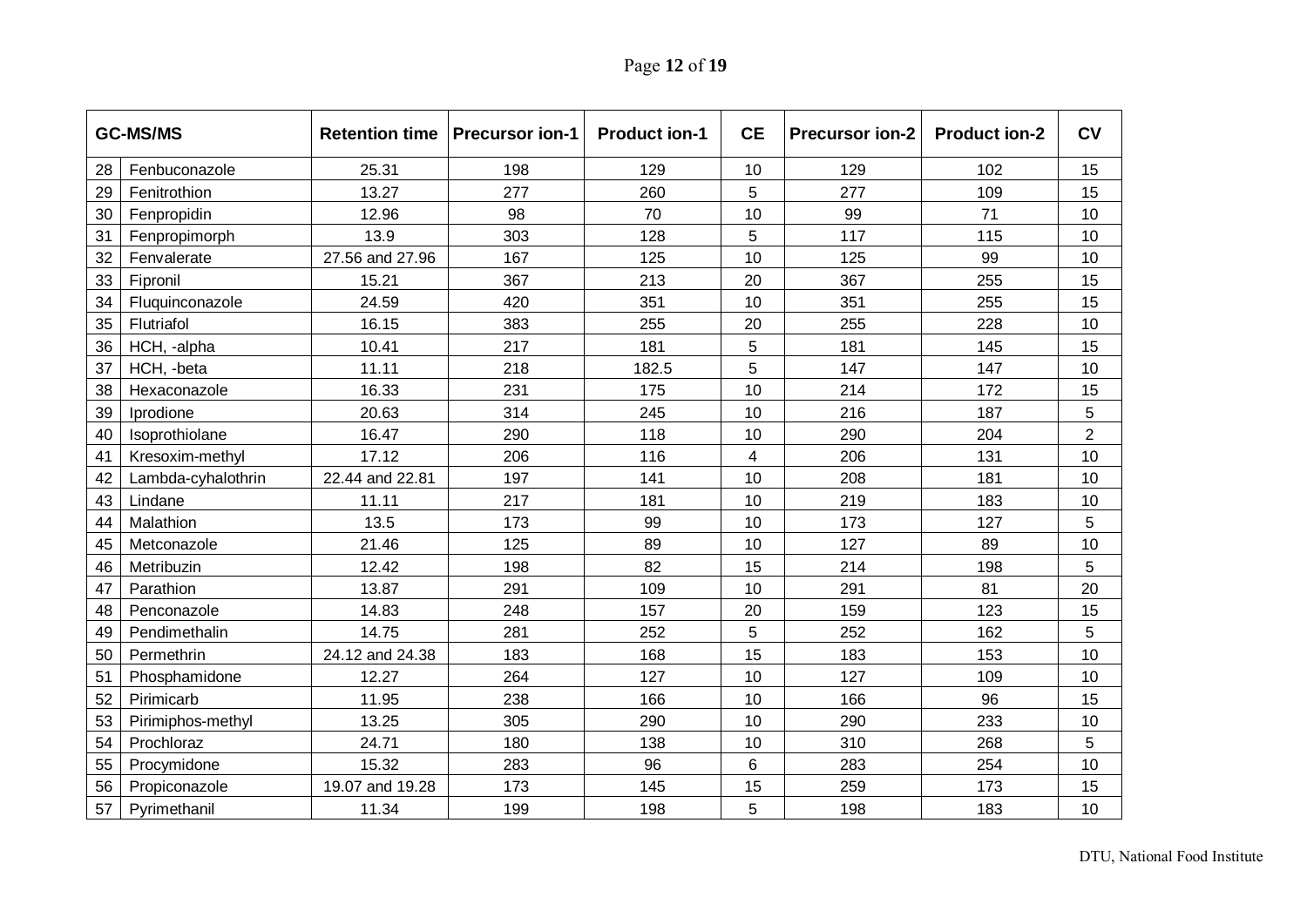# Page **12** of **19**

|    | <b>GC-MS/MS</b>    | <b>Retention time</b> | <b>Precursor ion-1</b> | <b>Product ion-1</b> | <b>CE</b> | <b>Precursor ion-2</b> | <b>Product ion-2</b> | <b>CV</b>      |
|----|--------------------|-----------------------|------------------------|----------------------|-----------|------------------------|----------------------|----------------|
| 28 | Fenbuconazole      | 25.31                 | 198                    | 129                  | 10        | 129                    | 102                  | 15             |
| 29 | Fenitrothion       | 13.27                 | 277                    | 260                  | 5         | 277                    | 109                  | 15             |
| 30 | Fenpropidin        | 12.96                 | 98                     | 70                   | 10        | 99                     | 71                   | 10             |
| 31 | Fenpropimorph      | 13.9                  | 303                    | 128                  | 5         | 117                    | 115                  | 10             |
| 32 | Fenvalerate        | 27.56 and 27.96       | 167                    | 125                  | 10        | 125                    | 99                   | 10             |
| 33 | Fipronil           | 15.21                 | 367                    | 213                  | 20        | 367                    | 255                  | 15             |
| 34 | Fluquinconazole    | 24.59                 | 420                    | 351                  | 10        | 351                    | 255                  | 15             |
| 35 | Flutriafol         | 16.15                 | 383                    | 255                  | 20        | 255                    | 228                  | 10             |
| 36 | HCH, -alpha        | 10.41                 | 217                    | 181                  | 5         | 181                    | 145                  | 15             |
| 37 | HCH, -beta         | 11.11                 | 218                    | 182.5                | 5         | 147                    | 147                  | 10             |
| 38 | Hexaconazole       | 16.33                 | 231                    | 175                  | 10        | 214                    | 172                  | 15             |
| 39 | Iprodione          | 20.63                 | 314                    | 245                  | 10        | 216                    | 187                  | 5              |
| 40 | Isoprothiolane     | 16.47                 | 290                    | 118                  | 10        | 290                    | 204                  | $\overline{2}$ |
| 41 | Kresoxim-methyl    | 17.12                 | 206                    | 116                  | 4         | 206                    | 131                  | 10             |
| 42 | Lambda-cyhalothrin | 22.44 and 22.81       | 197                    | 141                  | 10        | 208                    | 181                  | 10             |
| 43 | Lindane            | 11.11                 | 217                    | 181                  | 10        | 219                    | 183                  | 10             |
| 44 | Malathion          | 13.5                  | 173                    | 99                   | 10        | 173                    | 127                  | 5              |
| 45 | Metconazole        | 21.46                 | 125                    | 89                   | 10        | 127                    | 89                   | 10             |
| 46 | Metribuzin         | 12.42                 | 198                    | 82                   | 15        | 214                    | 198                  | $\overline{5}$ |
| 47 | Parathion          | 13.87                 | 291                    | 109                  | 10        | 291                    | 81                   | 20             |
| 48 | Penconazole        | 14.83                 | 248                    | 157                  | 20        | 159                    | 123                  | 15             |
| 49 | Pendimethalin      | 14.75                 | 281                    | 252                  | 5         | 252                    | 162                  | 5              |
| 50 | Permethrin         | 24.12 and 24.38       | 183                    | 168                  | 15        | 183                    | 153                  | 10             |
| 51 | Phosphamidone      | 12.27                 | 264                    | 127                  | 10        | 127                    | 109                  | 10             |
| 52 | Pirimicarb         | 11.95                 | 238                    | 166                  | 10        | 166                    | 96                   | 15             |
| 53 | Pirimiphos-methyl  | 13.25                 | 305                    | 290                  | 10        | 290                    | 233                  | 10             |
| 54 | Prochloraz         | 24.71                 | 180                    | 138                  | 10        | 310                    | 268                  | 5              |
| 55 | Procymidone        | 15.32                 | 283                    | 96                   | 6         | 283                    | 254                  | 10             |
| 56 | Propiconazole      | 19.07 and 19.28       | 173                    | 145                  | 15        | 259                    | 173                  | 15             |
| 57 | Pyrimethanil       | 11.34                 | 199                    | 198                  | 5         | 198                    | 183                  | 10             |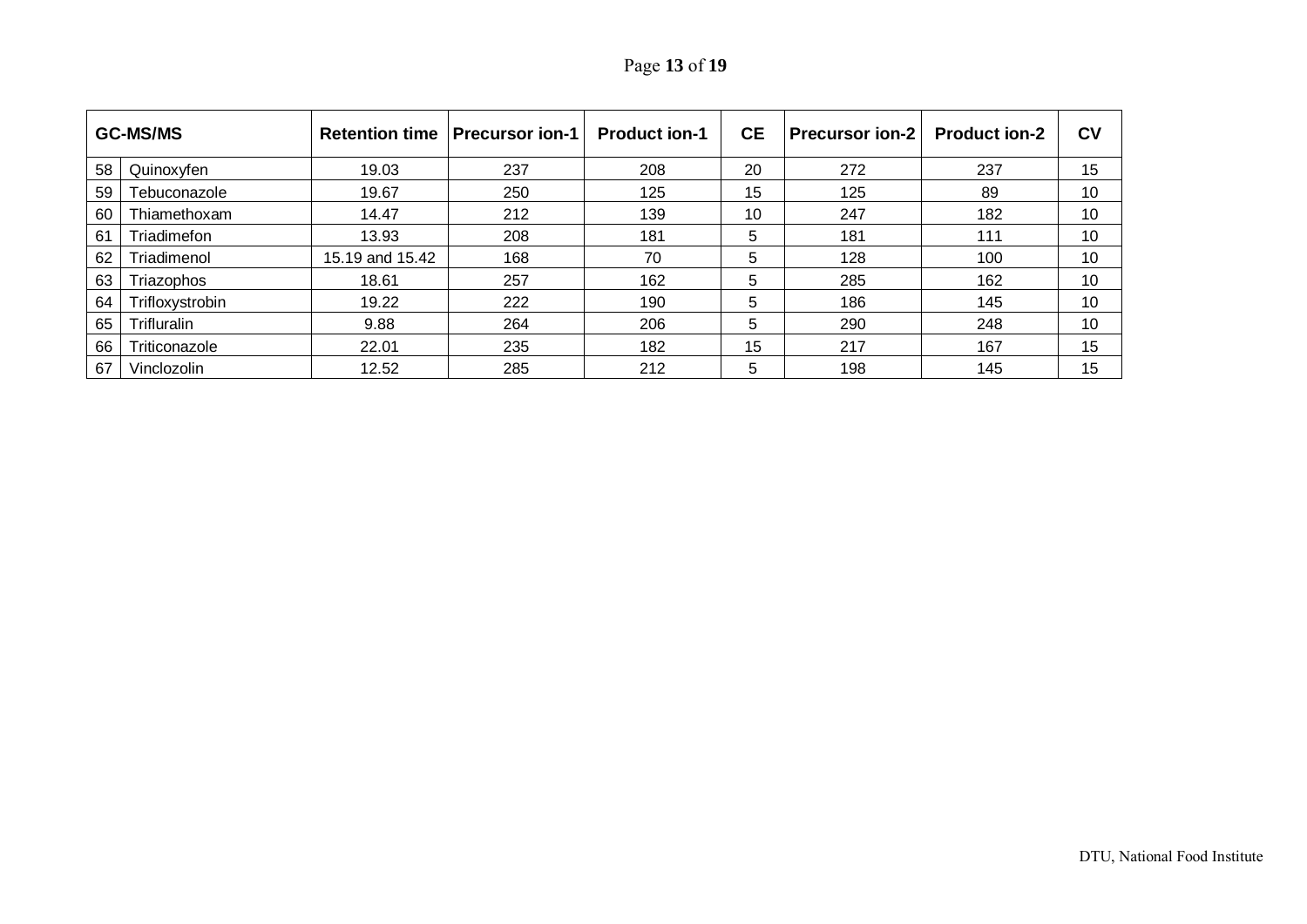| Page 13 of 19 |  |  |  |
|---------------|--|--|--|
|---------------|--|--|--|

| <b>GC-MS/MS</b> |                    | <b>Retention time</b> | <b>Precursor ion-1</b> | <b>Product ion-1</b> | <b>CE</b> | <b>Precursor ion-2</b> | <b>Product ion-2</b> | c <sub>v</sub> |
|-----------------|--------------------|-----------------------|------------------------|----------------------|-----------|------------------------|----------------------|----------------|
| 58              | Quinoxyfen         | 19.03                 | 237                    | 208                  | 20        | 272                    | 237                  | 15             |
| 59              | Tebuconazole       | 19.67                 | 250                    | 125                  | 15        | 125                    | 89                   | 10             |
| 60              | Thiamethoxam       | 14.47                 | 212                    | 139                  | 10        | 247                    | 182                  | 10             |
| 61              | Triadimefon        | 13.93                 | 208                    | 181                  | 5         | 181                    | 111                  | 10             |
| 62              | Triadimenol        | 15.19 and 15.42       | 168                    | 70                   | 5         | 128                    | 100                  | 10             |
| 63              | Triazophos         | 18.61                 | 257                    | 162                  | 5         | 285                    | 162                  | 10             |
| 64              | Trifloxystrobin    | 19.22                 | 222                    | 190                  | 5         | 186                    | 145                  | 10             |
| 65              | <b>Trifluralin</b> | 9.88                  | 264                    | 206                  | 5         | 290                    | 248                  | 10             |
| 66              | Triticonazole      | 22.01                 | 235                    | 182                  | 15        | 217                    | 167                  | 15             |
| 67              | Vinclozolin        | 12.52                 | 285                    | 212                  | 5         | 198                    | 145                  | 15             |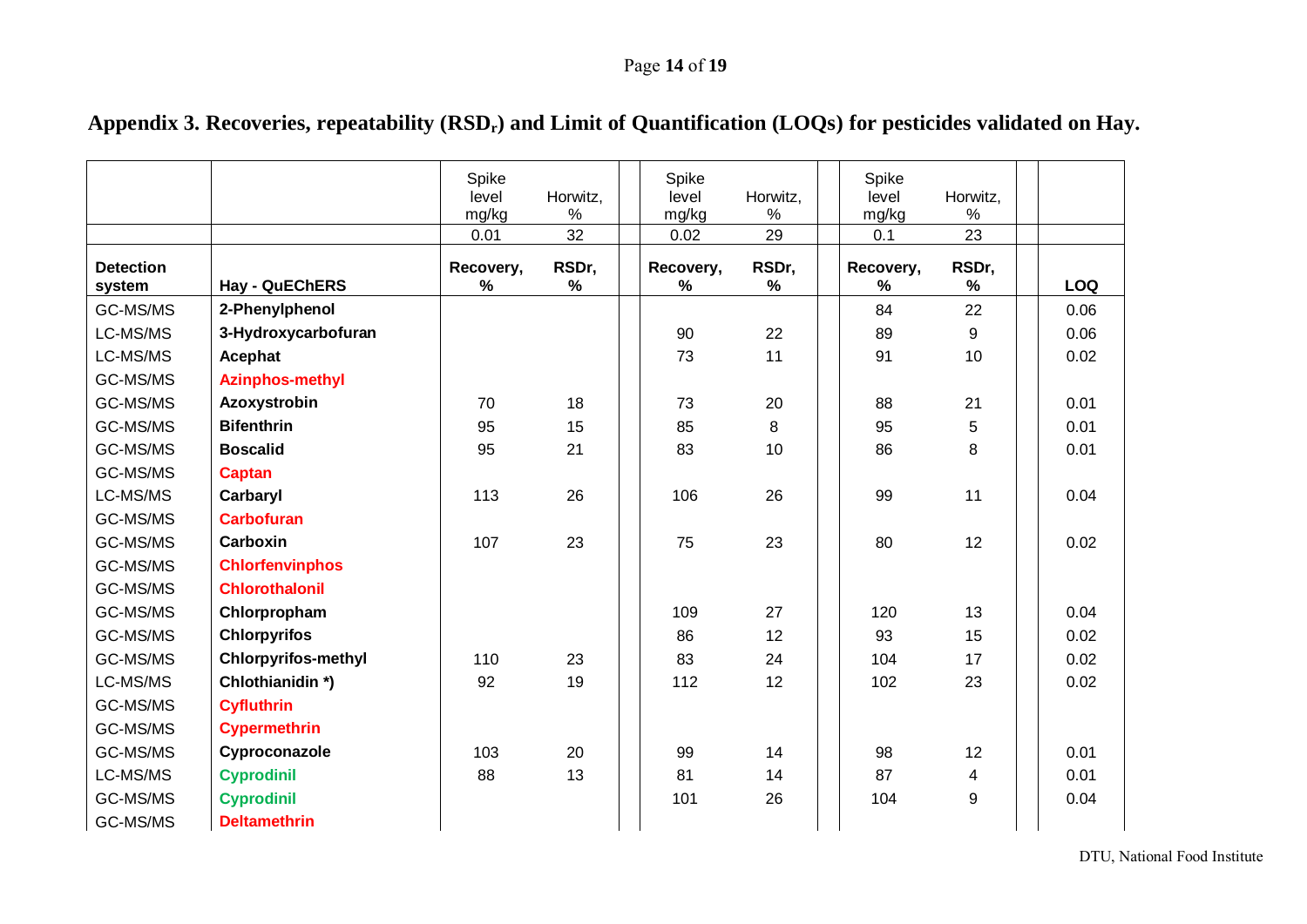## Page **14** of **19**

<span id="page-13-0"></span>

|                            |                            | Spike<br>level<br>mg/kg<br>0.01 | Horwitz,<br>$\%$<br>32 | Spike<br>level<br>mg/kg<br>0.02 | Horwitz,<br>%<br>29 | Spike<br>level<br>mg/kg<br>0.1 | Horwitz,<br>$\%$<br>23 |            |
|----------------------------|----------------------------|---------------------------------|------------------------|---------------------------------|---------------------|--------------------------------|------------------------|------------|
| <b>Detection</b><br>system | Hay - QuEChERS             | Recovery,<br>$\%$               | RSDr,<br>%             | Recovery,<br>%                  | RSDr,<br>%          | Recovery,<br>%                 | RSDr,<br>$\%$          | <b>LOQ</b> |
| GC-MS/MS                   | 2-Phenylphenol             |                                 |                        |                                 |                     | 84                             | 22                     | 0.06       |
| LC-MS/MS                   | 3-Hydroxycarbofuran        |                                 |                        | 90                              | 22                  | 89                             | $\boldsymbol{9}$       | 0.06       |
| LC-MS/MS                   | Acephat                    |                                 |                        | 73                              | 11                  | 91                             | 10                     | 0.02       |
| GC-MS/MS                   | <b>Azinphos-methyl</b>     |                                 |                        |                                 |                     |                                |                        |            |
| GC-MS/MS                   | Azoxystrobin               | 70                              | 18                     | 73                              | 20                  | 88                             | 21                     | 0.01       |
| GC-MS/MS                   | <b>Bifenthrin</b>          | 95                              | 15                     | 85                              | 8                   | 95                             | 5                      | 0.01       |
| GC-MS/MS                   | <b>Boscalid</b>            | 95                              | 21                     | 83                              | 10                  | 86                             | 8                      | 0.01       |
| GC-MS/MS                   | <b>Captan</b>              |                                 |                        |                                 |                     |                                |                        |            |
| LC-MS/MS                   | Carbaryl                   | 113                             | 26                     | 106                             | 26                  | 99                             | 11                     | 0.04       |
| GC-MS/MS                   | <b>Carbofuran</b>          |                                 |                        |                                 |                     |                                |                        |            |
| GC-MS/MS                   | Carboxin                   | 107                             | 23                     | 75                              | 23                  | 80                             | 12                     | 0.02       |
| GC-MS/MS                   | <b>Chlorfenvinphos</b>     |                                 |                        |                                 |                     |                                |                        |            |
| GC-MS/MS                   | <b>Chlorothalonil</b>      |                                 |                        |                                 |                     |                                |                        |            |
| GC-MS/MS                   | Chlorpropham               |                                 |                        | 109                             | 27                  | 120                            | 13                     | 0.04       |
| GC-MS/MS                   | <b>Chlorpyrifos</b>        |                                 |                        | 86                              | 12                  | 93                             | 15                     | 0.02       |
| GC-MS/MS                   | <b>Chlorpyrifos-methyl</b> | 110                             | 23                     | 83                              | 24                  | 104                            | 17                     | 0.02       |
| LC-MS/MS                   | Chlothianidin*)            | 92                              | 19                     | 112                             | 12                  | 102                            | 23                     | 0.02       |
| GC-MS/MS                   | <b>Cyfluthrin</b>          |                                 |                        |                                 |                     |                                |                        |            |
| GC-MS/MS                   | <b>Cypermethrin</b>        |                                 |                        |                                 |                     |                                |                        |            |
| GC-MS/MS                   | Cyproconazole              | 103                             | 20                     | 99                              | 14                  | 98                             | 12                     | 0.01       |
| LC-MS/MS                   | <b>Cyprodinil</b>          | 88                              | 13                     | 81                              | 14                  | 87                             | 4                      | 0.01       |
| GC-MS/MS                   | <b>Cyprodinil</b>          |                                 |                        | 101                             | 26                  | 104                            | 9                      | 0.04       |
| GC-MS/MS                   | <b>Deltamethrin</b>        |                                 |                        |                                 |                     |                                |                        |            |

# Appendix 3. Recoveries, repeatability (RSD<sub>r</sub>) and Limit of Quantification (LOQs) for pesticides validated on Hay.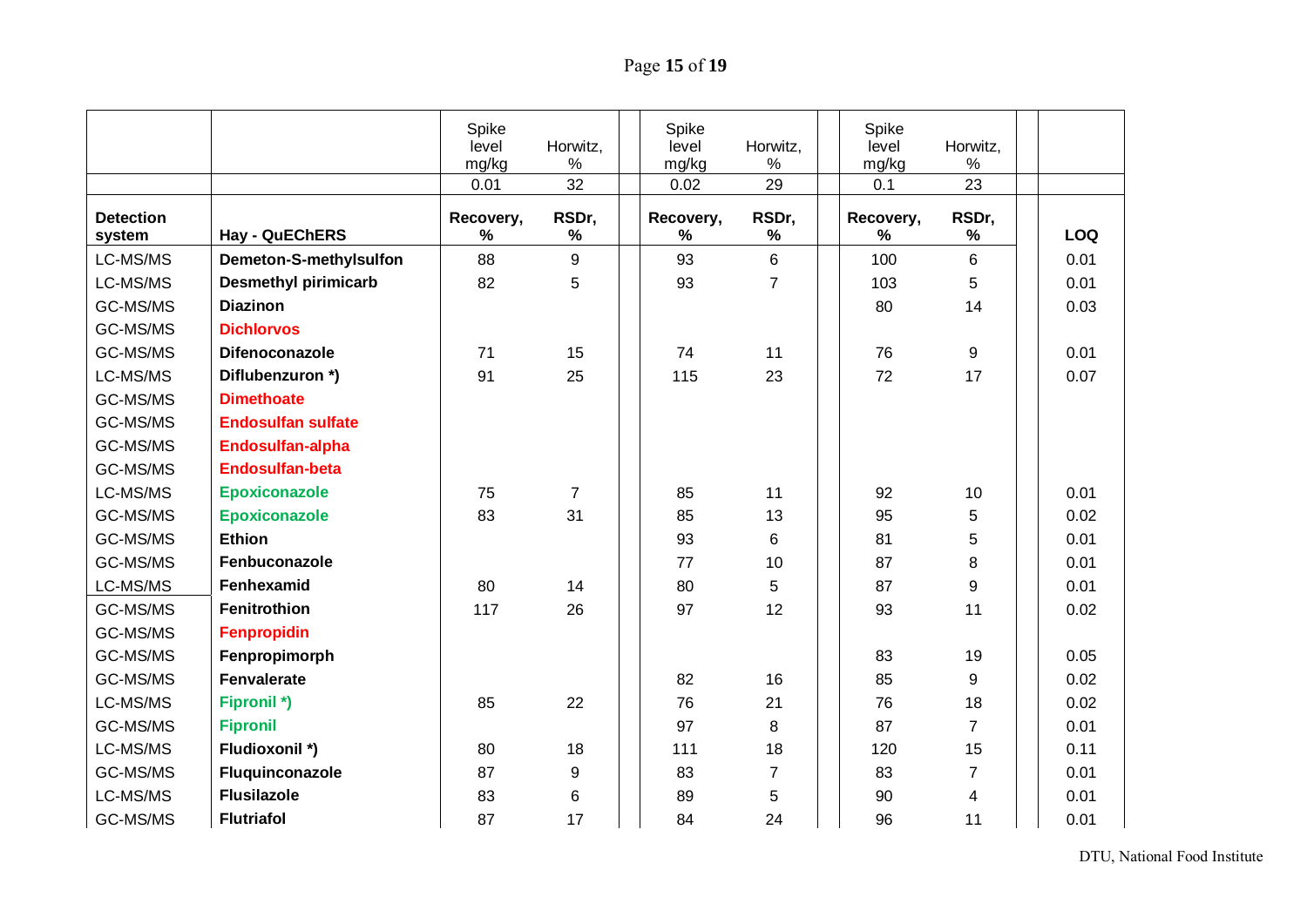# Page **15** of **19**

|                            |                             | Spike<br>level<br>mg/kg | Horwitz,<br>$\%$ | Spike<br>level<br>mg/kg | Horwitz,<br>$\%$ | Spike<br>level<br>mg/kg | Horwitz,<br>$\%$ |            |
|----------------------------|-----------------------------|-------------------------|------------------|-------------------------|------------------|-------------------------|------------------|------------|
|                            |                             | 0.01                    | 32               | 0.02                    | 29               | 0.1                     | 23               |            |
| <b>Detection</b><br>system | <b>Hay - QuEChERS</b>       | Recovery,<br>%          | RSDr,<br>%       | Recovery,<br>%          | RSDr,<br>%       | Recovery,<br>%          | RSDr,<br>%       | <b>LOQ</b> |
| LC-MS/MS                   | Demeton-S-methylsulfon      | 88                      | 9                | 93                      | $6\phantom{1}$   | 100                     | 6                | 0.01       |
| LC-MS/MS                   | <b>Desmethyl pirimicarb</b> | 82                      | 5                | 93                      | $\overline{7}$   | 103                     | 5                | 0.01       |
| GC-MS/MS                   | <b>Diazinon</b>             |                         |                  |                         |                  | 80                      | 14               | 0.03       |
| GC-MS/MS                   | <b>Dichlorvos</b>           |                         |                  |                         |                  |                         |                  |            |
| GC-MS/MS                   | Difenoconazole              | 71                      | 15               | 74                      | 11               | 76                      | 9                | 0.01       |
| LC-MS/MS                   | Diflubenzuron *)            | 91                      | 25               | 115                     | 23               | 72                      | 17               | 0.07       |
| GC-MS/MS                   | <b>Dimethoate</b>           |                         |                  |                         |                  |                         |                  |            |
| GC-MS/MS                   | <b>Endosulfan sulfate</b>   |                         |                  |                         |                  |                         |                  |            |
| GC-MS/MS                   | Endosulfan-alpha            |                         |                  |                         |                  |                         |                  |            |
| GC-MS/MS                   | <b>Endosulfan-beta</b>      |                         |                  |                         |                  |                         |                  |            |
| LC-MS/MS                   | <b>Epoxiconazole</b>        | 75                      | $\overline{7}$   | 85                      | 11               | 92                      | 10               | 0.01       |
| GC-MS/MS                   | <b>Epoxiconazole</b>        | 83                      | 31               | 85                      | 13               | 95                      | 5                | 0.02       |
| GC-MS/MS                   | <b>Ethion</b>               |                         |                  | 93                      | 6                | 81                      | 5                | 0.01       |
| GC-MS/MS                   | Fenbuconazole               |                         |                  | 77                      | 10               | 87                      | 8                | 0.01       |
| LC-MS/MS                   | <b>Fenhexamid</b>           | 80                      | 14               | 80                      | 5                | 87                      | 9                | 0.01       |
| GC-MS/MS                   | Fenitrothion                | 117                     | 26               | 97                      | 12               | 93                      | 11               | 0.02       |
| GC-MS/MS                   | Fenpropidin                 |                         |                  |                         |                  |                         |                  |            |
| GC-MS/MS                   | Fenpropimorph               |                         |                  |                         |                  | 83                      | 19               | 0.05       |
| GC-MS/MS                   | <b>Fenvalerate</b>          |                         |                  | 82                      | 16               | 85                      | 9                | 0.02       |
| LC-MS/MS                   | <b>Fipronil *)</b>          | 85                      | 22               | 76                      | 21               | 76                      | 18               | 0.02       |
| GC-MS/MS                   | <b>Fipronil</b>             |                         |                  | 97                      | 8                | 87                      | $\overline{7}$   | 0.01       |
| LC-MS/MS                   | Fludioxonil *)              | 80                      | 18               | 111                     | 18               | 120                     | 15               | 0.11       |
| GC-MS/MS                   | Fluquinconazole             | 87                      | 9                | 83                      | $\overline{7}$   | 83                      | $\overline{7}$   | 0.01       |
| LC-MS/MS                   | <b>Flusilazole</b>          | 83                      | 6                | 89                      | 5                | 90                      | 4                | 0.01       |
| GC-MS/MS                   | <b>Flutriafol</b>           | 87                      | 17               | 84                      | 24               | 96                      | 11               | 0.01       |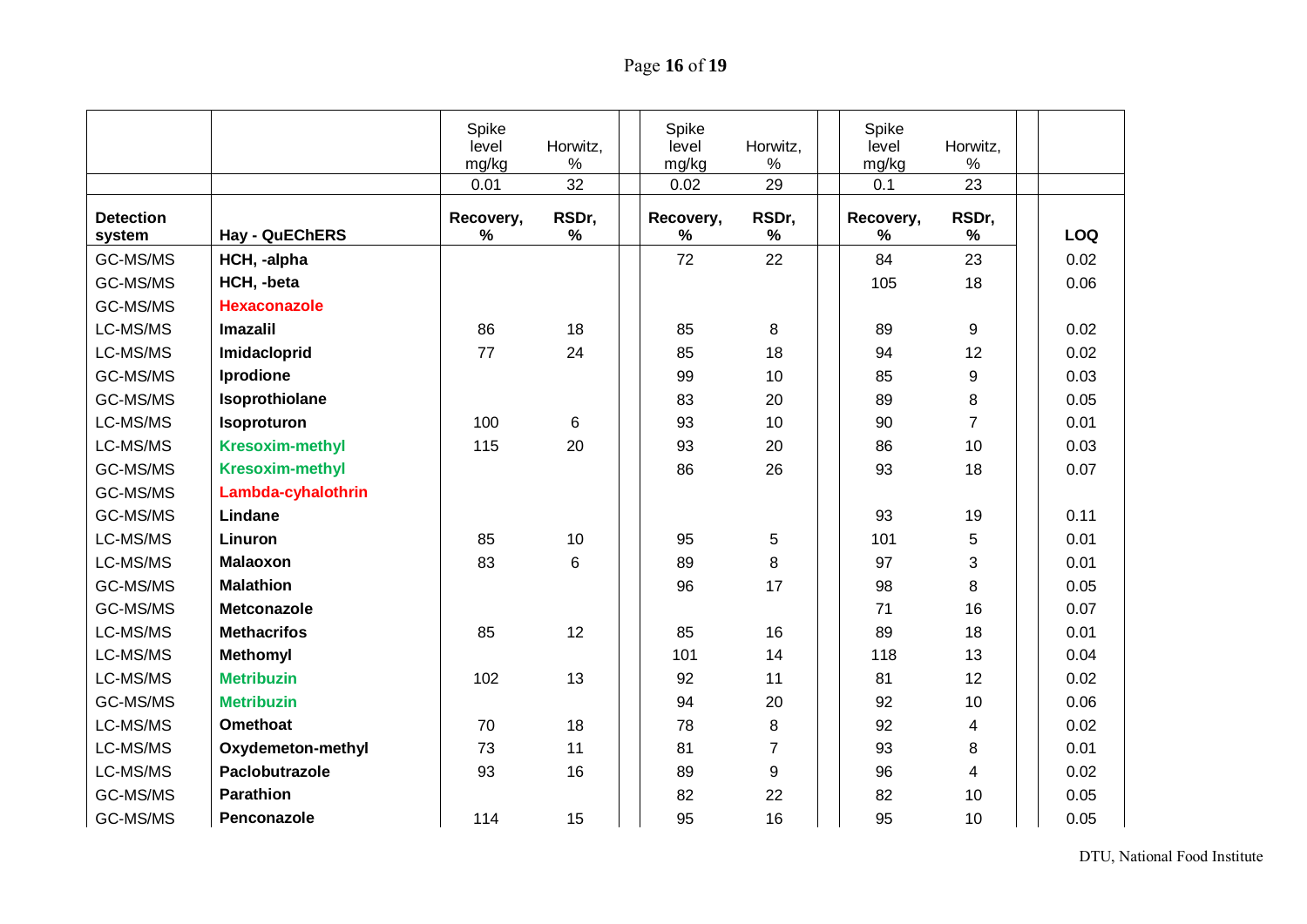# Page **16** of **19**

|                            |                        | Spike<br>level<br>mg/kg | Horwitz,<br>$\%$ | Spike<br>level<br>mg/kg | Horwitz,<br>$\%$ | Spike<br>level<br>mg/kg | Horwitz,<br>$\%$ |            |
|----------------------------|------------------------|-------------------------|------------------|-------------------------|------------------|-------------------------|------------------|------------|
|                            |                        | 0.01                    | 32               | 0.02                    | 29               | 0.1                     | 23               |            |
| <b>Detection</b><br>system | <b>Hay - QuEChERS</b>  | Recovery,<br>%          | RSDr,<br>℅       | Recovery,<br>%          | RSDr,<br>%       | Recovery,<br>%          | RSDr,<br>%       | <b>LOQ</b> |
| GC-MS/MS                   | HCH, -alpha            |                         |                  | 72                      | 22               | 84                      | 23               | 0.02       |
| GC-MS/MS                   | HCH, -beta             |                         |                  |                         |                  | 105                     | 18               | 0.06       |
| GC-MS/MS                   | <b>Hexaconazole</b>    |                         |                  |                         |                  |                         |                  |            |
| LC-MS/MS                   | <b>Imazalil</b>        | 86                      | 18               | 85                      | 8                | 89                      | 9                | 0.02       |
| LC-MS/MS                   | Imidacloprid           | 77                      | 24               | 85                      | 18               | 94                      | 12               | 0.02       |
| GC-MS/MS                   | Iprodione              |                         |                  | 99                      | 10               | 85                      | 9                | 0.03       |
| GC-MS/MS                   | Isoprothiolane         |                         |                  | 83                      | 20               | 89                      | 8                | 0.05       |
| LC-MS/MS                   | Isoproturon            | 100                     | 6                | 93                      | 10               | 90                      | $\overline{7}$   | 0.01       |
| LC-MS/MS                   | <b>Kresoxim-methyl</b> | 115                     | 20               | 93                      | 20               | 86                      | 10               | 0.03       |
| GC-MS/MS                   | <b>Kresoxim-methyl</b> |                         |                  | 86                      | 26               | 93                      | 18               | 0.07       |
| GC-MS/MS                   | Lambda-cyhalothrin     |                         |                  |                         |                  |                         |                  |            |
| GC-MS/MS                   | Lindane                |                         |                  |                         |                  | 93                      | 19               | 0.11       |
| LC-MS/MS                   | Linuron                | 85                      | 10               | 95                      | 5                | 101                     | 5                | 0.01       |
| LC-MS/MS                   | <b>Malaoxon</b>        | 83                      | 6                | 89                      | 8                | 97                      | 3                | 0.01       |
| GC-MS/MS                   | <b>Malathion</b>       |                         |                  | 96                      | 17               | 98                      | 8                | 0.05       |
| GC-MS/MS                   | <b>Metconazole</b>     |                         |                  |                         |                  | 71                      | 16               | 0.07       |
| LC-MS/MS                   | <b>Methacrifos</b>     | 85                      | 12               | 85                      | 16               | 89                      | 18               | 0.01       |
| LC-MS/MS                   | <b>Methomyl</b>        |                         |                  | 101                     | 14               | 118                     | 13               | 0.04       |
| LC-MS/MS                   | <b>Metribuzin</b>      | 102                     | 13               | 92                      | 11               | 81                      | 12               | 0.02       |
| GC-MS/MS                   | <b>Metribuzin</b>      |                         |                  | 94                      | 20               | 92                      | 10               | 0.06       |
| LC-MS/MS                   | <b>Omethoat</b>        | 70                      | 18               | 78                      | 8                | 92                      | 4                | 0.02       |
| LC-MS/MS                   | Oxydemeton-methyl      | 73                      | 11               | 81                      | $\overline{7}$   | 93                      | 8                | 0.01       |
| LC-MS/MS                   | Paclobutrazole         | 93                      | 16               | 89                      | 9                | 96                      | 4                | 0.02       |
| GC-MS/MS                   | <b>Parathion</b>       |                         |                  | 82                      | 22               | 82                      | 10               | 0.05       |
| GC-MS/MS                   | Penconazole            | 114                     | 15               | 95                      | 16               | 95                      | 10               | 0.05       |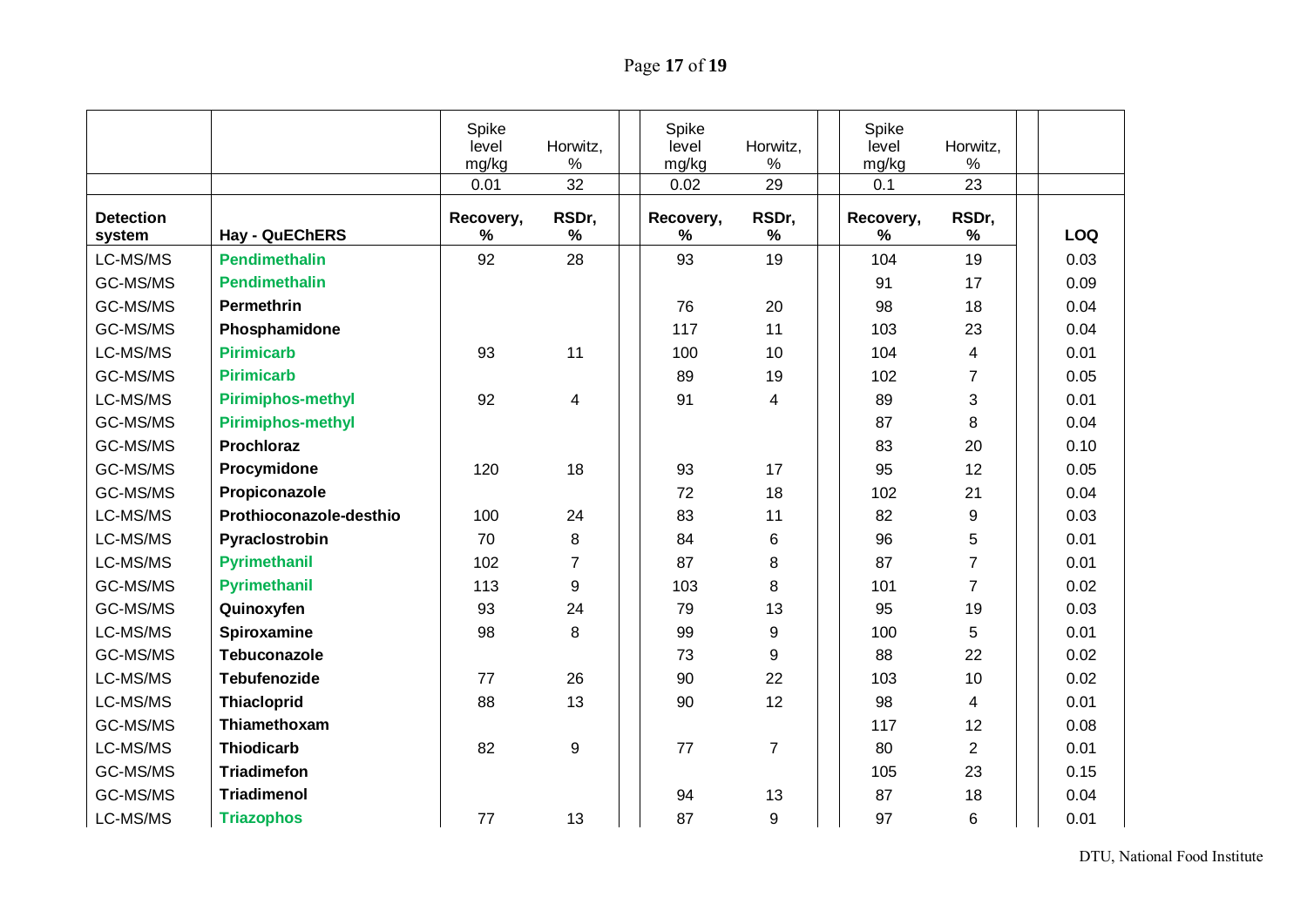# Page **17** of **19**

|                            |                          | Spike<br>level<br>mg/kg | Horwitz,<br>$\%$ | Spike<br>level<br>mg/kg | Horwitz,<br>$\%$ | Spike<br>level<br>mg/kg | Horwitz,<br>$\%$ |            |
|----------------------------|--------------------------|-------------------------|------------------|-------------------------|------------------|-------------------------|------------------|------------|
|                            |                          | 0.01                    | 32               | 0.02                    | 29               | 0.1                     | 23               |            |
| <b>Detection</b><br>system | Hay - QuEChERS           | Recovery,<br>%          | RSDr,<br>%       | Recovery,<br>%          | RSDr,<br>%       | Recovery,<br>%          | RSDr,<br>$\%$    | <b>LOQ</b> |
| LC-MS/MS                   | <b>Pendimethalin</b>     | 92                      | 28               | 93                      | 19               | 104                     | 19               | 0.03       |
| GC-MS/MS                   | <b>Pendimethalin</b>     |                         |                  |                         |                  | 91                      | 17               | 0.09       |
| GC-MS/MS                   | <b>Permethrin</b>        |                         |                  | 76                      | 20               | 98                      | 18               | 0.04       |
| GC-MS/MS                   | Phosphamidone            |                         |                  | 117                     | 11               | 103                     | 23               | 0.04       |
| LC-MS/MS                   | <b>Pirimicarb</b>        | 93                      | 11               | 100                     | 10               | 104                     | $\overline{4}$   | 0.01       |
| GC-MS/MS                   | <b>Pirimicarb</b>        |                         |                  | 89                      | 19               | 102                     | $\overline{7}$   | 0.05       |
| LC-MS/MS                   | <b>Pirimiphos-methyl</b> | 92                      | 4                | 91                      | 4                | 89                      | 3                | 0.01       |
| GC-MS/MS                   | <b>Pirimiphos-methyl</b> |                         |                  |                         |                  | 87                      | 8                | 0.04       |
| GC-MS/MS                   | <b>Prochloraz</b>        |                         |                  |                         |                  | 83                      | 20               | 0.10       |
| GC-MS/MS                   | Procymidone              | 120                     | 18               | 93                      | 17               | 95                      | 12               | 0.05       |
| GC-MS/MS                   | Propiconazole            |                         |                  | 72                      | 18               | 102                     | 21               | 0.04       |
| LC-MS/MS                   | Prothioconazole-desthio  | 100                     | 24               | 83                      | 11               | 82                      | 9                | 0.03       |
| LC-MS/MS                   | Pyraclostrobin           | 70                      | 8                | 84                      | 6                | 96                      | 5                | 0.01       |
| LC-MS/MS                   | <b>Pyrimethanil</b>      | 102                     | $\overline{7}$   | 87                      | 8                | 87                      | $\overline{7}$   | 0.01       |
| GC-MS/MS                   | <b>Pyrimethanil</b>      | 113                     | 9                | 103                     | 8                | 101                     | $\overline{7}$   | 0.02       |
| GC-MS/MS                   | Quinoxyfen               | 93                      | 24               | 79                      | 13               | 95                      | 19               | 0.03       |
| LC-MS/MS                   | Spiroxamine              | 98                      | 8                | 99                      | 9                | 100                     | 5                | 0.01       |
| GC-MS/MS                   | <b>Tebuconazole</b>      |                         |                  | 73                      | 9                | 88                      | 22               | 0.02       |
| LC-MS/MS                   | <b>Tebufenozide</b>      | 77                      | 26               | 90                      | 22               | 103                     | 10               | 0.02       |
| LC-MS/MS                   | <b>Thiacloprid</b>       | 88                      | 13               | 90                      | 12               | 98                      | 4                | 0.01       |
| GC-MS/MS                   | Thiamethoxam             |                         |                  |                         |                  | 117                     | 12               | 0.08       |
| LC-MS/MS                   | <b>Thiodicarb</b>        | 82                      | 9                | 77                      | $\overline{7}$   | 80                      | $\overline{2}$   | 0.01       |
| GC-MS/MS                   | <b>Triadimefon</b>       |                         |                  |                         |                  | 105                     | 23               | 0.15       |
| GC-MS/MS                   | <b>Triadimenol</b>       |                         |                  | 94                      | 13               | 87                      | 18               | 0.04       |
| LC-MS/MS                   | <b>Triazophos</b>        | 77                      | 13               | 87                      | 9                | 97                      | 6                | 0.01       |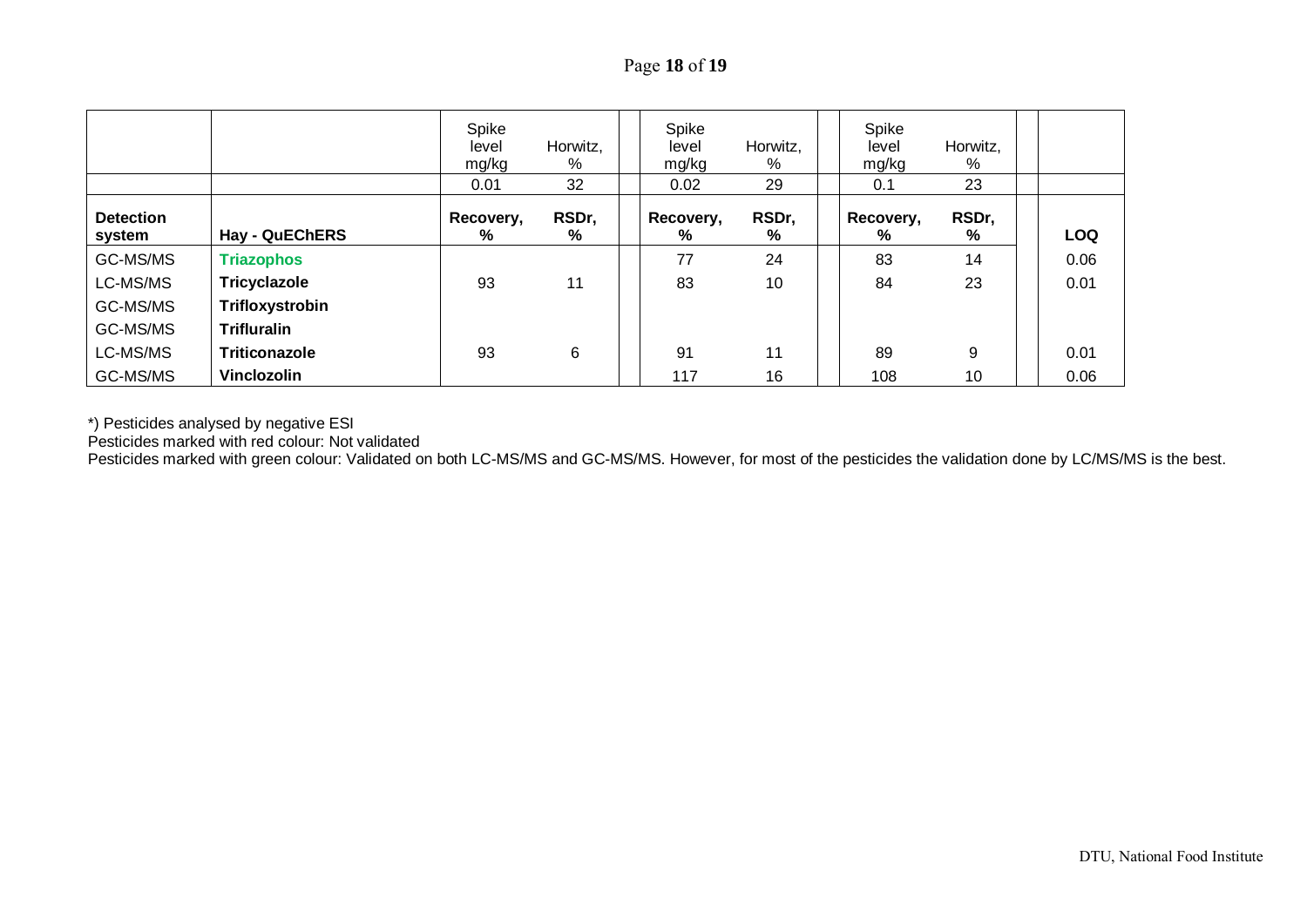|                            |                       | Spike<br>level<br>mg/kg<br>0.01 | Horwitz,<br>%<br>32 | Spike<br>level<br>mg/kg<br>0.02 | Horwitz,<br>%<br>29 | Spike<br>level<br>mg/kg<br>0.1 | Horwitz,<br>%<br>23 |            |
|----------------------------|-----------------------|---------------------------------|---------------------|---------------------------------|---------------------|--------------------------------|---------------------|------------|
| <b>Detection</b><br>system | <b>Hay - QuEChERS</b> | Recovery,<br>%                  | RSDr,<br>%          | Recovery,<br>%                  | RSDr,<br>%          | Recovery,<br>%                 | RSDr,<br>%          | <b>LOQ</b> |
| GC-MS/MS                   | <b>Triazophos</b>     |                                 |                     | 77                              | 24                  | 83                             | 14                  | 0.06       |
| LC-MS/MS                   | Tricyclazole          | 93                              | 11                  | 83                              | 10                  | 84                             | 23                  | 0.01       |
| GC-MS/MS                   | Trifloxystrobin       |                                 |                     |                                 |                     |                                |                     |            |
| GC-MS/MS                   | <b>Trifluralin</b>    |                                 |                     |                                 |                     |                                |                     |            |
| LC-MS/MS                   | Triticonazole         | 93                              | $6\phantom{1}$      | 91                              | 11                  | 89                             | 9                   | 0.01       |
| GC-MS/MS                   | Vinclozolin           |                                 |                     | 117                             | 16                  | 108                            | 10 <sup>°</sup>     | 0.06       |

\*) Pesticides analysed by negative ESI

Pesticides marked with red colour: Not validated

Pesticides marked with green colour: Validated on both LC-MS/MS and GC-MS/MS. However, for most of the pesticides the validation done by LC/MS/MS is the best.